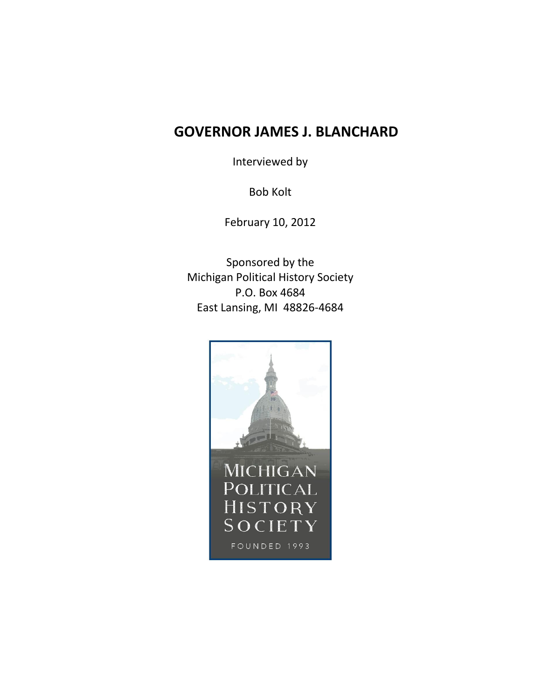# **GOVERNOR JAMES J. BLANCHARD**

Interviewed by

Bob Kolt

February 10, 2012

Sponsored by the Michigan Political History Society P.O. Box 4684 East Lansing, MI 48826-4684

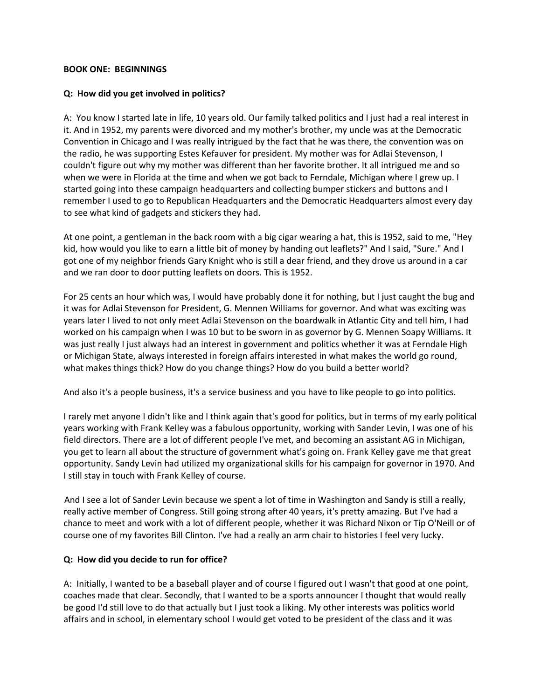#### **BOOK ONE: BEGINNINGS**

## **Q: How did you get involved in politics?**

A: You know I started late in life, 10 years old. Our family talked politics and I just had a real interest in it. And in 1952, my parents were divorced and my mother's brother, my uncle was at the Democratic Convention in Chicago and I was really intrigued by the fact that he was there, the convention was on the radio, he was supporting Estes Kefauver for president. My mother was for Adlai Stevenson, I couldn't figure out why my mother was different than her favorite brother. It all intrigued me and so when we were in Florida at the time and when we got back to Ferndale, Michigan where I grew up. I started going into these campaign headquarters and collecting bumper stickers and buttons and I remember I used to go to Republican Headquarters and the Democratic Headquarters almost every day to see what kind of gadgets and stickers they had.

At one point, a gentleman in the back room with a big cigar wearing a hat, this is 1952, said to me, "Hey kid, how would you like to earn a little bit of money by handing out leaflets?" And I said, "Sure." And I got one of my neighbor friends Gary Knight who is still a dear friend, and they drove us around in a car and we ran door to door putting leaflets on doors. This is 1952.

For 25 cents an hour which was, I would have probably done it for nothing, but I just caught the bug and it was for Adlai Stevenson for President, G. Mennen Williams for governor. And what was exciting was years later I lived to not only meet Adlai Stevenson on the boardwalk in Atlantic City and tell him, I had worked on his campaign when I was 10 but to be sworn in as governor by G. Mennen Soapy Williams. It was just really I just always had an interest in government and politics whether it was at Ferndale High or Michigan State, always interested in foreign affairs interested in what makes the world go round, what makes things thick? How do you change things? How do you build a better world?

And also it's a people business, it's a service business and you have to like people to go into politics.

I rarely met anyone I didn't like and I think again that's good for politics, but in terms of my early political years working with Frank Kelley was a fabulous opportunity, working with Sander Levin, I was one of his field directors. There are a lot of different people I've met, and becoming an assistant AG in Michigan, you get to learn all about the structure of government what's going on. Frank Kelley gave me that great opportunity. Sandy Levin had utilized my organizational skills for his campaign for governor in 1970. And I still stay in touch with Frank Kelley of course.

And I see a lot of Sander Levin because we spent a lot of time in Washington and Sandy is still a really, really active member of Congress. Still going strong after 40 years, it's pretty amazing. But I've had a chance to meet and work with a lot of different people, whether it was Richard Nixon or Tip O'Neill or of course one of my favorites Bill Clinton. I've had a really an arm chair to histories I feel very lucky.

## **Q: How did you decide to run for office?**

A: Initially, I wanted to be a baseball player and of course I figured out I wasn't that good at one point, coaches made that clear. Secondly, that I wanted to be a sports announcer I thought that would really be good I'd still love to do that actually but I just took a liking. My other interests was politics world affairs and in school, in elementary school I would get voted to be president of the class and it was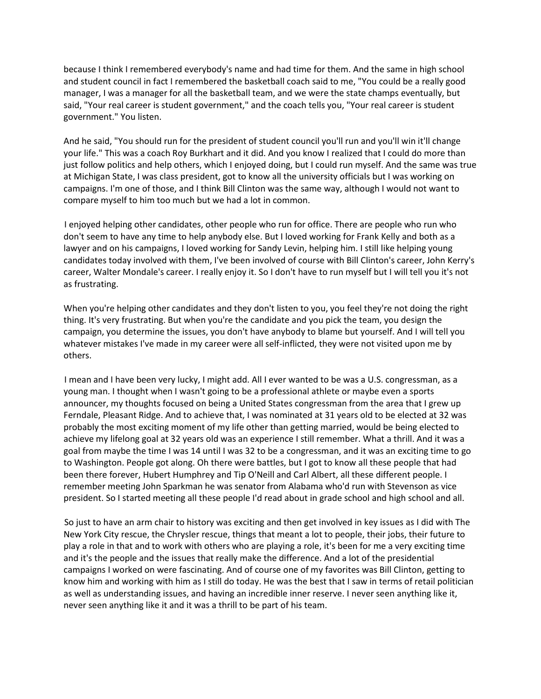because I think I remembered everybody's name and had time for them. And the same in high school and student council in fact I remembered the basketball coach said to me, "You could be a really good manager, I was a manager for all the basketball team, and we were the state champs eventually, but said, "Your real career is student government," and the coach tells you, "Your real career is student government." You listen.

And he said, "You should run for the president of student council you'll run and you'll win it'll change your life." This was a coach Roy Burkhart and it did. And you know I realized that I could do more than just follow politics and help others, which I enjoyed doing, but I could run myself. And the same was true at Michigan State, I was class president, got to know all the university officials but I was working on campaigns. I'm one of those, and I think Bill Clinton was the same way, although I would not want to compare myself to him too much but we had a lot in common.

I enjoyed helping other candidates, other people who run for office. There are people who run who don't seem to have any time to help anybody else. But I loved working for Frank Kelly and both as a lawyer and on his campaigns, I loved working for Sandy Levin, helping him. I still like helping young candidates today involved with them, I've been involved of course with Bill Clinton's career, John Kerry's career, Walter Mondale's career. I really enjoy it. So I don't have to run myself but I will tell you it's not as frustrating.

When you're helping other candidates and they don't listen to you, you feel they're not doing the right thing. It's very frustrating. But when you're the candidate and you pick the team, you design the campaign, you determine the issues, you don't have anybody to blame but yourself. And I will tell you whatever mistakes I've made in my career were all self-inflicted, they were not visited upon me by others.

I mean and I have been very lucky, I might add. All I ever wanted to be was a U.S. congressman, as a young man. I thought when I wasn't going to be a professional athlete or maybe even a sports announcer, my thoughts focused on being a United States congressman from the area that I grew up Ferndale, Pleasant Ridge. And to achieve that, I was nominated at 31 years old to be elected at 32 was probably the most exciting moment of my life other than getting married, would be being elected to achieve my lifelong goal at 32 years old was an experience I still remember. What a thrill. And it was a goal from maybe the time I was 14 until I was 32 to be a congressman, and it was an exciting time to go to Washington. People got along. Oh there were battles, but I got to know all these people that had been there forever, Hubert Humphrey and Tip O'Neill and Carl Albert, all these different people. I remember meeting John Sparkman he was senator from Alabama who'd run with Stevenson as vice president. So I started meeting all these people I'd read about in grade school and high school and all.

So just to have an arm chair to history was exciting and then get involved in key issues as I did with The New York City rescue, the Chrysler rescue, things that meant a lot to people, their jobs, their future to play a role in that and to work with others who are playing a role, it's been for me a very exciting time and it's the people and the issues that really make the difference. And a lot of the presidential campaigns I worked on were fascinating. And of course one of my favorites was Bill Clinton, getting to know him and working with him as I still do today. He was the best that I saw in terms of retail politician as well as understanding issues, and having an incredible inner reserve. I never seen anything like it, never seen anything like it and it was a thrill to be part of his team.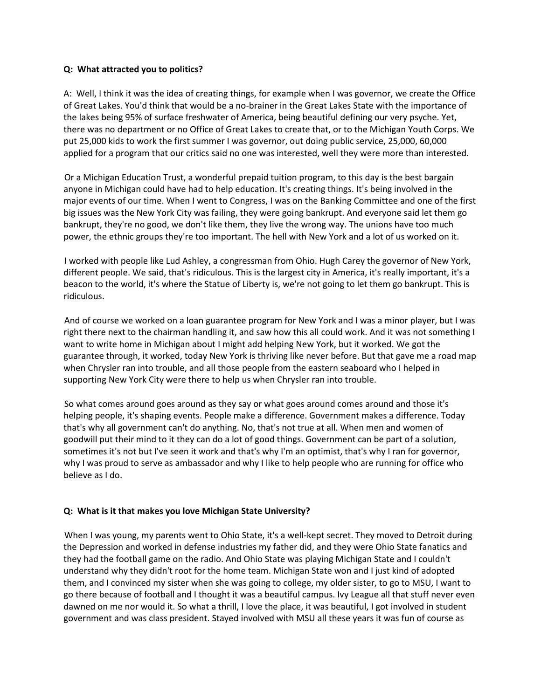#### **Q: What attracted you to politics?**

A: Well, I think it was the idea of creating things, for example when I was governor, we create the Office of Great Lakes. You'd think that would be a no-brainer in the Great Lakes State with the importance of the lakes being 95% of surface freshwater of America, being beautiful defining our very psyche. Yet, there was no department or no Office of Great Lakes to create that, or to the Michigan Youth Corps. We put 25,000 kids to work the first summer I was governor, out doing public service, 25,000, 60,000 applied for a program that our critics said no one was interested, well they were more than interested.

Or a Michigan Education Trust, a wonderful prepaid tuition program, to this day is the best bargain anyone in Michigan could have had to help education. It's creating things. It's being involved in the major events of our time. When I went to Congress, I was on the Banking Committee and one of the first big issues was the New York City was failing, they were going bankrupt. And everyone said let them go bankrupt, they're no good, we don't like them, they live the wrong way. The unions have too much power, the ethnic groups they're too important. The hell with New York and a lot of us worked on it.

I worked with people like Lud Ashley, a congressman from Ohio. Hugh Carey the governor of New York, different people. We said, that's ridiculous. This is the largest city in America, it's really important, it's a beacon to the world, it's where the Statue of Liberty is, we're not going to let them go bankrupt. This is ridiculous.

And of course we worked on a loan guarantee program for New York and I was a minor player, but I was right there next to the chairman handling it, and saw how this all could work. And it was not something I want to write home in Michigan about I might add helping New York, but it worked. We got the guarantee through, it worked, today New York is thriving like never before. But that gave me a road map when Chrysler ran into trouble, and all those people from the eastern seaboard who I helped in supporting New York City were there to help us when Chrysler ran into trouble.

So what comes around goes around as they say or what goes around comes around and those it's helping people, it's shaping events. People make a difference. Government makes a difference. Today that's why all government can't do anything. No, that's not true at all. When men and women of goodwill put their mind to it they can do a lot of good things. Government can be part of a solution, sometimes it's not but I've seen it work and that's why I'm an optimist, that's why I ran for governor, why I was proud to serve as ambassador and why I like to help people who are running for office who believe as I do.

## **Q: What is it that makes you love Michigan State University?**

When I was young, my parents went to Ohio State, it's a well-kept secret. They moved to Detroit during the Depression and worked in defense industries my father did, and they were Ohio State fanatics and they had the football game on the radio. And Ohio State was playing Michigan State and I couldn't understand why they didn't root for the home team. Michigan State won and I just kind of adopted them, and I convinced my sister when she was going to college, my older sister, to go to MSU, I want to go there because of football and I thought it was a beautiful campus. Ivy League all that stuff never even dawned on me nor would it. So what a thrill, I love the place, it was beautiful, I got involved in student government and was class president. Stayed involved with MSU all these years it was fun of course as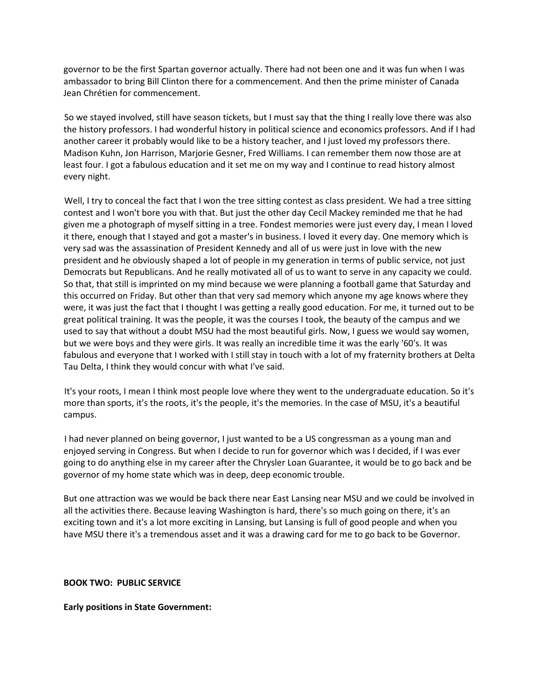governor to be the first Spartan governor actually. There had not been one and it was fun when I was ambassador to bring Bill Clinton there for a commencement. And then the prime minister of Canada Jean Chrétien for commencement.

So we stayed involved, still have season tickets, but I must say that the thing I really love there was also the history professors. I had wonderful history in political science and economics professors. And if I had another career it probably would like to be a history teacher, and I just loved my professors there. Madison Kuhn, Jon Harrison, Marjorie Gesner, Fred Williams. I can remember them now those are at least four. I got a fabulous education and it set me on my way and I continue to read history almost every night.

Well, I try to conceal the fact that I won the tree sitting contest as class president. We had a tree sitting contest and I won't bore you with that. But just the other day Cecil Mackey reminded me that he had given me a photograph of myself sitting in a tree. Fondest memories were just every day, I mean I loved it there, enough that I stayed and got a master's in business. I loved it every day. One memory which is very sad was the assassination of President Kennedy and all of us were just in love with the new president and he obviously shaped a lot of people in my generation in terms of public service, not just Democrats but Republicans. And he really motivated all of us to want to serve in any capacity we could. So that, that still is imprinted on my mind because we were planning a football game that Saturday and this occurred on Friday. But other than that very sad memory which anyone my age knows where they were, it was just the fact that I thought I was getting a really good education. For me, it turned out to be great political training. It was the people, it was the courses I took, the beauty of the campus and we used to say that without a doubt MSU had the most beautiful girls. Now, I guess we would say women, but we were boys and they were girls. It was really an incredible time it was the early '60's. It was fabulous and everyone that I worked with I still stay in touch with a lot of my fraternity brothers at Delta Tau Delta, I think they would concur with what I've said.

It's your roots, I mean I think most people love where they went to the undergraduate education. So it's more than sports, it's the roots, it's the people, it's the memories. In the case of MSU, it's a beautiful campus.

I had never planned on being governor, I just wanted to be a US congressman as a young man and enjoyed serving in Congress. But when I decide to run for governor which was I decided, if I was ever going to do anything else in my career after the Chrysler Loan Guarantee, it would be to go back and be governor of my home state which was in deep, deep economic trouble.

But one attraction was we would be back there near East Lansing near MSU and we could be involved in all the activities there. Because leaving Washington is hard, there's so much going on there, it's an exciting town and it's a lot more exciting in Lansing, but Lansing is full of good people and when you have MSU there it's a tremendous asset and it was a drawing card for me to go back to be Governor.

**BOOK TWO: PUBLIC SERVICE**

**Early positions in State Government:**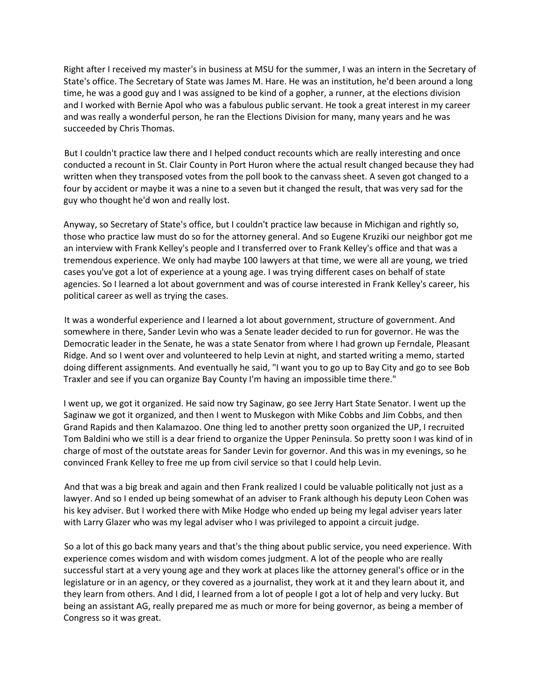Right after I received my master's in business at MSU for the summer, I was an intern in the Secretary of State's office. The Secretary of State was James M. Hare. He was an institution, he'd been around a long time, he was a good guy and I was assigned to be kind of a gopher, a runner, at the elections division and I worked with Bernie Apol who was a fabulous public servant. He took a great interest in my career and was really a wonderful person, he ran the Elections Division for many, many years and he was succeeded by Chris Thomas.

But I couldn't practice law there and I helped conduct recounts which are really interesting and once conducted a recount in St. Clair County in Port Huron where the actual result changed because they had written when they transposed votes from the poll book to the canvass sheet. A seven got changed to a four by accident or maybe it was a nine to a seven but it changed the result, that was very sad for the guy who thought he'd won and really lost.

Anyway, so Secretary of State's office, but I couldn't practice law because in Michigan and rightly so, those who practice law must do so for the attorney general. And so Eugene Kruziki our neighbor got me an interview with Frank Kelley's people and I transferred over to Frank Kelley's office and that was a tremendous experience. We only had maybe 100 lawyers at that time, we were all are young, we tried cases you've got a lot of experience at a young age. I was trying different cases on behalf of state agencies. So I learned a lot about government and was of course interested in Frank Kelley's career, his political career as well as trying the cases.

It was a wonderful experience and I learned a lot about government, structure of government. And somewhere in there, Sander Levin who was a Senate leader decided to run for governor. He was the Democratic leader in the Senate, he was a state Senator from where I had grown up Ferndale, Pleasant Ridge. And so I went over and volunteered to help Levin at night, and started writing a memo, started doing different assignments. And eventually he said, "I want you to go up to Bay City and go to see Bob Traxler and see if you can organize Bay County I'm having an impossible time there."

I went up, we got it organized. He said now try Saginaw, go see Jerry Hart State Senator. I went up the Saginaw we got it organized, and then I went to Muskegon with Mike Cobbs and Jim Cobbs, and then Grand Rapids and then Kalamazoo. One thing led to another pretty soon organized the UP, I recruited Tom Baldini who we still is a dear friend to organize the Upper Peninsula. So pretty soon I was kind of in charge of most of the outstate areas for Sander Levin for governor. And this was in my evenings, so he convinced Frank Kelley to free me up from civil service so that I could help Levin.

And that was a big break and again and then Frank realized I could be valuable politically not just as a lawyer. And so I ended up being somewhat of an adviser to Frank although his deputy Leon Cohen was his key adviser. But I worked there with Mike Hodge who ended up being my legal adviser years later with Larry Glazer who was my legal adviser who I was privileged to appoint a circuit judge.

So a lot of this go back many years and that's the thing about public service, you need experience. With experience comes wisdom and with wisdom comes judgment. A lot of the people who are really successful start at a very young age and they work at places like the attorney general's office or in the legislature or in an agency, or they covered as a journalist, they work at it and they learn about it, and they learn from others. And I did, I learned from a lot of people I got a lot of help and very lucky. But being an assistant AG, really prepared me as much or more for being governor, as being a member of Congress so it was great.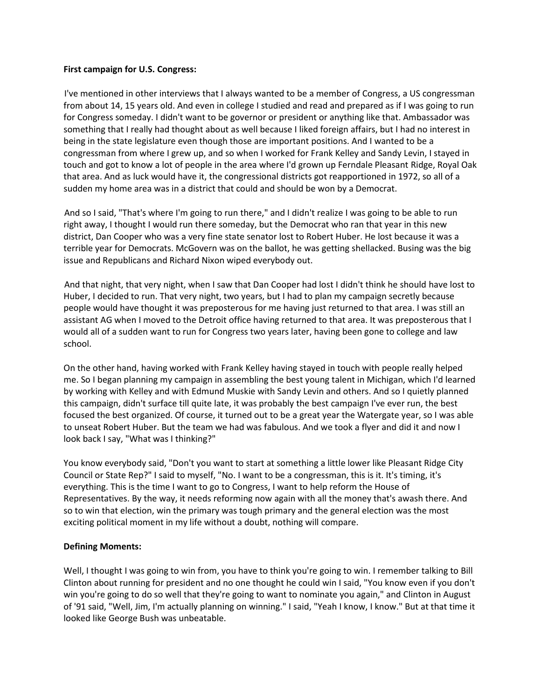#### **First campaign for U.S. Congress:**

I've mentioned in other interviews that I always wanted to be a member of Congress, a US congressman from about 14, 15 years old. And even in college I studied and read and prepared as if I was going to run for Congress someday. I didn't want to be governor or president or anything like that. Ambassador was something that I really had thought about as well because I liked foreign affairs, but I had no interest in being in the state legislature even though those are important positions. And I wanted to be a congressman from where I grew up, and so when I worked for Frank Kelley and Sandy Levin, I stayed in touch and got to know a lot of people in the area where I'd grown up Ferndale Pleasant Ridge, Royal Oak that area. And as luck would have it, the congressional districts got reapportioned in 1972, so all of a sudden my home area was in a district that could and should be won by a Democrat.

And so I said, "That's where I'm going to run there," and I didn't realize I was going to be able to run right away, I thought I would run there someday, but the Democrat who ran that year in this new district, Dan Cooper who was a very fine state senator lost to Robert Huber. He lost because it was a terrible year for Democrats. McGovern was on the ballot, he was getting shellacked. Busing was the big issue and Republicans and Richard Nixon wiped everybody out.

And that night, that very night, when I saw that Dan Cooper had lost I didn't think he should have lost to Huber, I decided to run. That very night, two years, but I had to plan my campaign secretly because people would have thought it was preposterous for me having just returned to that area. I was still an assistant AG when I moved to the Detroit office having returned to that area. It was preposterous that I would all of a sudden want to run for Congress two years later, having been gone to college and law school.

On the other hand, having worked with Frank Kelley having stayed in touch with people really helped me. So I began planning my campaign in assembling the best young talent in Michigan, which I'd learned by working with Kelley and with Edmund Muskie with Sandy Levin and others. And so I quietly planned this campaign, didn't surface till quite late, it was probably the best campaign I've ever run, the best focused the best organized. Of course, it turned out to be a great year the Watergate year, so I was able to unseat Robert Huber. But the team we had was fabulous. And we took a flyer and did it and now I look back I say, "What was I thinking?"

You know everybody said, "Don't you want to start at something a little lower like Pleasant Ridge City Council or State Rep?" I said to myself, "No. I want to be a congressman, this is it. It's timing, it's everything. This is the time I want to go to Congress, I want to help reform the House of Representatives. By the way, it needs reforming now again with all the money that's awash there. And so to win that election, win the primary was tough primary and the general election was the most exciting political moment in my life without a doubt, nothing will compare.

## **Defining Moments:**

Well, I thought I was going to win from, you have to think you're going to win. I remember talking to Bill Clinton about running for president and no one thought he could win I said, "You know even if you don't win you're going to do so well that they're going to want to nominate you again," and Clinton in August of '91 said, "Well, Jim, I'm actually planning on winning." I said, "Yeah I know, I know." But at that time it looked like George Bush was unbeatable.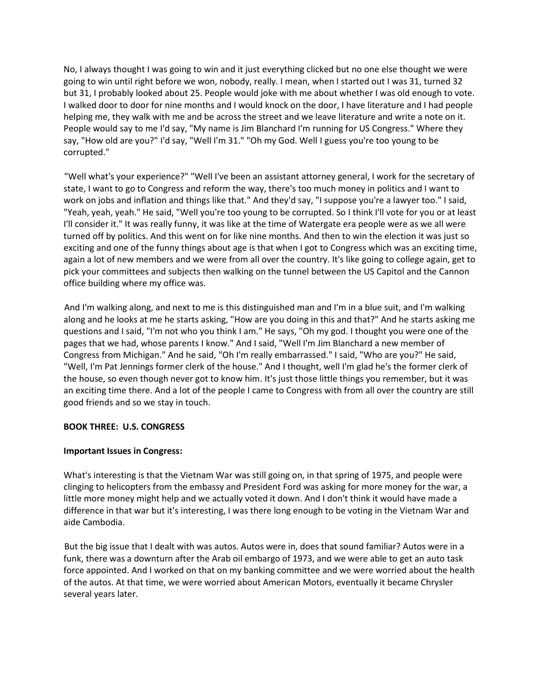No, I always thought I was going to win and it just everything clicked but no one else thought we were going to win until right before we won, nobody, really. I mean, when I started out I was 31, turned 32 but 31, I probably looked about 25. People would joke with me about whether I was old enough to vote. I walked door to door for nine months and I would knock on the door, I have literature and I had people helping me, they walk with me and be across the street and we leave literature and write a note on it. People would say to me I'd say, "My name is Jim Blanchard I'm running for US Congress." Where they say, "How old are you?" I'd say, "Well I'm 31." "Oh my God. Well I guess you're too young to be corrupted."

"Well what's your experience?" "Well I've been an assistant attorney general, I work for the secretary of state, I want to go to Congress and reform the way, there's too much money in politics and I want to work on jobs and inflation and things like that." And they'd say, "I suppose you're a lawyer too." I said, "Yeah, yeah, yeah." He said, "Well you're too young to be corrupted. So I think I'll vote for you or at least I'll consider it." It was really funny, it was like at the time of Watergate era people were as we all were turned off by politics. And this went on for like nine months. And then to win the election it was just so exciting and one of the funny things about age is that when I got to Congress which was an exciting time, again a lot of new members and we were from all over the country. It's like going to college again, get to pick your committees and subjects then walking on the tunnel between the US Capitol and the Cannon office building where my office was.

And I'm walking along, and next to me is this distinguished man and I'm in a blue suit, and I'm walking along and he looks at me he starts asking, "How are you doing in this and that?" And he starts asking me questions and I said, "I'm not who you think I am." He says, "Oh my god. I thought you were one of the pages that we had, whose parents I know." And I said, "Well I'm Jim Blanchard a new member of Congress from Michigan." And he said, "Oh I'm really embarrassed." I said, "Who are you?" He said, "Well, I'm Pat Jennings former clerk of the house." And I thought, well I'm glad he's the former clerk of the house, so even though never got to know him. It's just those little things you remember, but it was an exciting time there. And a lot of the people I came to Congress with from all over the country are still good friends and so we stay in touch.

## **BOOK THREE: U.S. CONGRESS**

## **Important Issues in Congress:**

What's interesting is that the Vietnam War was still going on, in that spring of 1975, and people were clinging to helicopters from the embassy and President Ford was asking for more money for the war, a little more money might help and we actually voted it down. And I don't think it would have made a difference in that war but it's interesting, I was there long enough to be voting in the Vietnam War and aide Cambodia.

But the big issue that I dealt with was autos. Autos were in, does that sound familiar? Autos were in a funk, there was a downturn after the Arab oil embargo of 1973, and we were able to get an auto task force appointed. And I worked on that on my banking committee and we were worried about the health of the autos. At that time, we were worried about American Motors, eventually it became Chrysler several years later.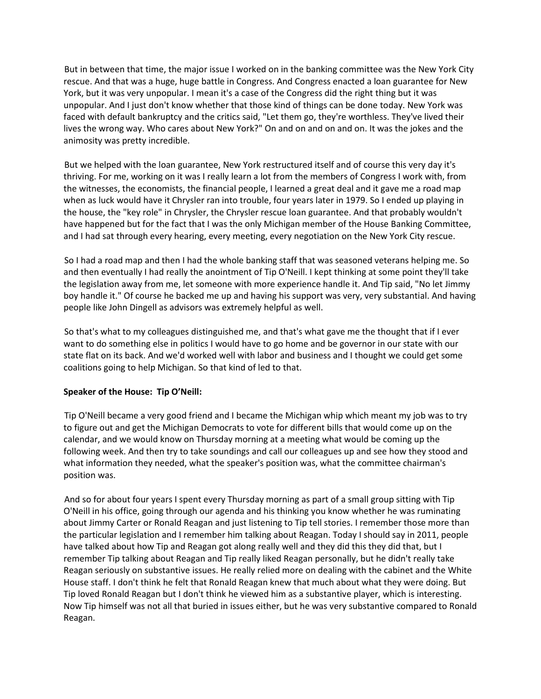But in between that time, the major issue I worked on in the banking committee was the New York City rescue. And that was a huge, huge battle in Congress. And Congress enacted a loan guarantee for New York, but it was very unpopular. I mean it's a case of the Congress did the right thing but it was unpopular. And I just don't know whether that those kind of things can be done today. New York was faced with default bankruptcy and the critics said, "Let them go, they're worthless. They've lived their lives the wrong way. Who cares about New York?" On and on and on and on. It was the jokes and the animosity was pretty incredible.

But we helped with the loan guarantee, New York restructured itself and of course this very day it's thriving. For me, working on it was I really learn a lot from the members of Congress I work with, from the witnesses, the economists, the financial people, I learned a great deal and it gave me a road map when as luck would have it Chrysler ran into trouble, four years later in 1979. So I ended up playing in the house, the "key role" in Chrysler, the Chrysler rescue loan guarantee. And that probably wouldn't have happened but for the fact that I was the only Michigan member of the House Banking Committee, and I had sat through every hearing, every meeting, every negotiation on the New York City rescue.

So I had a road map and then I had the whole banking staff that was seasoned veterans helping me. So and then eventually I had really the anointment of Tip O'Neill. I kept thinking at some point they'll take the legislation away from me, let someone with more experience handle it. And Tip said, "No let Jimmy boy handle it." Of course he backed me up and having his support was very, very substantial. And having people like John Dingell as advisors was extremely helpful as well.

So that's what to my colleagues distinguished me, and that's what gave me the thought that if I ever want to do something else in politics I would have to go home and be governor in our state with our state flat on its back. And we'd worked well with labor and business and I thought we could get some coalitions going to help Michigan. So that kind of led to that.

## **Speaker of the House: Tip O'Neill:**

Tip O'Neill became a very good friend and I became the Michigan whip which meant my job was to try to figure out and get the Michigan Democrats to vote for different bills that would come up on the calendar, and we would know on Thursday morning at a meeting what would be coming up the following week. And then try to take soundings and call our colleagues up and see how they stood and what information they needed, what the speaker's position was, what the committee chairman's position was.

And so for about four years I spent every Thursday morning as part of a small group sitting with Tip O'Neill in his office, going through our agenda and his thinking you know whether he was ruminating about Jimmy Carter or Ronald Reagan and just listening to Tip tell stories. I remember those more than the particular legislation and I remember him talking about Reagan. Today I should say in 2011, people have talked about how Tip and Reagan got along really well and they did this they did that, but I remember Tip talking about Reagan and Tip really liked Reagan personally, but he didn't really take Reagan seriously on substantive issues. He really relied more on dealing with the cabinet and the White House staff. I don't think he felt that Ronald Reagan knew that much about what they were doing. But Tip loved Ronald Reagan but I don't think he viewed him as a substantive player, which is interesting. Now Tip himself was not all that buried in issues either, but he was very substantive compared to Ronald Reagan.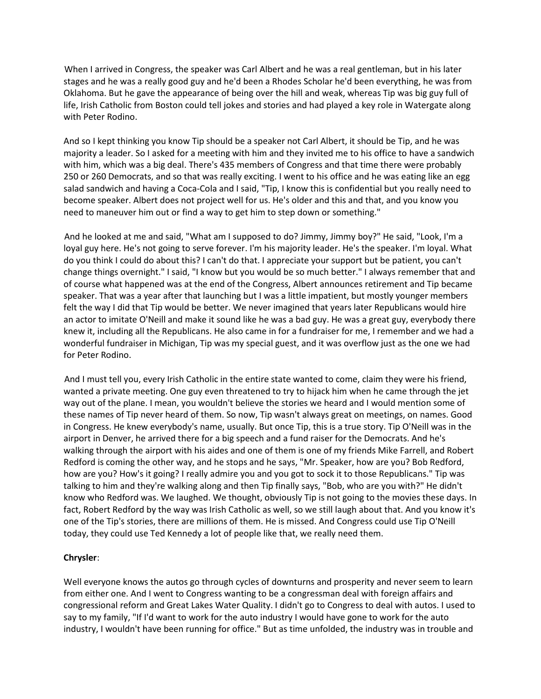When I arrived in Congress, the speaker was Carl Albert and he was a real gentleman, but in his later stages and he was a really good guy and he'd been a Rhodes Scholar he'd been everything, he was from Oklahoma. But he gave the appearance of being over the hill and weak, whereas Tip was big guy full of life, Irish Catholic from Boston could tell jokes and stories and had played a key role in Watergate along with Peter Rodino.

And so I kept thinking you know Tip should be a speaker not Carl Albert, it should be Tip, and he was majority a leader. So I asked for a meeting with him and they invited me to his office to have a sandwich with him, which was a big deal. There's 435 members of Congress and that time there were probably 250 or 260 Democrats, and so that was really exciting. I went to his office and he was eating like an egg salad sandwich and having a Coca-Cola and I said, "Tip, I know this is confidential but you really need to become speaker. Albert does not project well for us. He's older and this and that, and you know you need to maneuver him out or find a way to get him to step down or something."

And he looked at me and said, "What am I supposed to do? Jimmy, Jimmy boy?" He said, "Look, I'm a loyal guy here. He's not going to serve forever. I'm his majority leader. He's the speaker. I'm loyal. What do you think I could do about this? I can't do that. I appreciate your support but be patient, you can't change things overnight." I said, "I know but you would be so much better." I always remember that and of course what happened was at the end of the Congress, Albert announces retirement and Tip became speaker. That was a year after that launching but I was a little impatient, but mostly younger members felt the way I did that Tip would be better. We never imagined that years later Republicans would hire an actor to imitate O'Neill and make it sound like he was a bad guy. He was a great guy, everybody there knew it, including all the Republicans. He also came in for a fundraiser for me, I remember and we had a wonderful fundraiser in Michigan, Tip was my special guest, and it was overflow just as the one we had for Peter Rodino.

And I must tell you, every Irish Catholic in the entire state wanted to come, claim they were his friend, wanted a private meeting. One guy even threatened to try to hijack him when he came through the jet way out of the plane. I mean, you wouldn't believe the stories we heard and I would mention some of these names of Tip never heard of them. So now, Tip wasn't always great on meetings, on names. Good in Congress. He knew everybody's name, usually. But once Tip, this is a true story. Tip O'Neill was in the airport in Denver, he arrived there for a big speech and a fund raiser for the Democrats. And he's walking through the airport with his aides and one of them is one of my friends Mike Farrell, and Robert Redford is coming the other way, and he stops and he says, "Mr. Speaker, how are you? Bob Redford, how are you? How's it going? I really admire you and you got to sock it to those Republicans." Tip was talking to him and they're walking along and then Tip finally says, "Bob, who are you with?" He didn't know who Redford was. We laughed. We thought, obviously Tip is not going to the movies these days. In fact, Robert Redford by the way was Irish Catholic as well, so we still laugh about that. And you know it's one of the Tip's stories, there are millions of them. He is missed. And Congress could use Tip O'Neill today, they could use Ted Kennedy a lot of people like that, we really need them.

## **Chrysler**:

Well everyone knows the autos go through cycles of downturns and prosperity and never seem to learn from either one. And I went to Congress wanting to be a congressman deal with foreign affairs and congressional reform and Great Lakes Water Quality. I didn't go to Congress to deal with autos. I used to say to my family, "If I'd want to work for the auto industry I would have gone to work for the auto industry, I wouldn't have been running for office." But as time unfolded, the industry was in trouble and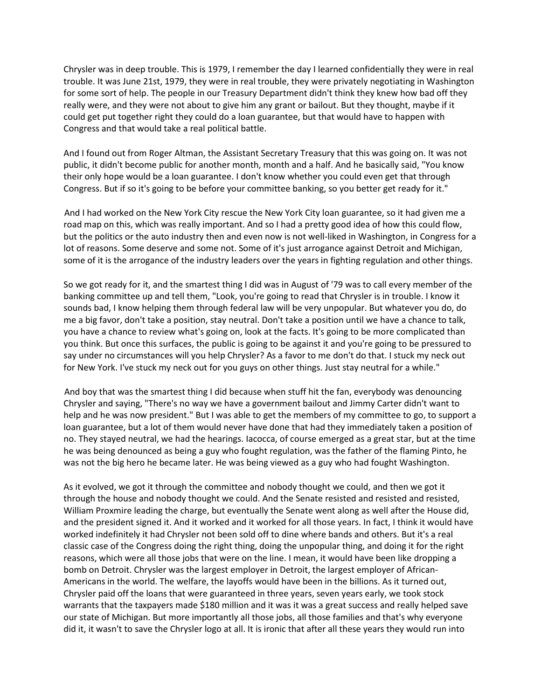Chrysler was in deep trouble. This is 1979, I remember the day I learned confidentially they were in real trouble. It was June 21st, 1979, they were in real trouble, they were privately negotiating in Washington for some sort of help. The people in our Treasury Department didn't think they knew how bad off they really were, and they were not about to give him any grant or bailout. But they thought, maybe if it could get put together right they could do a loan guarantee, but that would have to happen with Congress and that would take a real political battle.

And I found out from Roger Altman, the Assistant Secretary Treasury that this was going on. It was not public, it didn't become public for another month, month and a half. And he basically said, "You know their only hope would be a loan guarantee. I don't know whether you could even get that through Congress. But if so it's going to be before your committee banking, so you better get ready for it."

And I had worked on the New York City rescue the New York City loan guarantee, so it had given me a road map on this, which was really important. And so I had a pretty good idea of how this could flow, but the politics or the auto industry then and even now is not well-liked in Washington, in Congress for a lot of reasons. Some deserve and some not. Some of it's just arrogance against Detroit and Michigan, some of it is the arrogance of the industry leaders over the years in fighting regulation and other things.

So we got ready for it, and the smartest thing I did was in August of '79 was to call every member of the banking committee up and tell them, "Look, you're going to read that Chrysler is in trouble. I know it sounds bad, I know helping them through federal law will be very unpopular. But whatever you do, do me a big favor, don't take a position, stay neutral. Don't take a position until we have a chance to talk, you have a chance to review what's going on, look at the facts. It's going to be more complicated than you think. But once this surfaces, the public is going to be against it and you're going to be pressured to say under no circumstances will you help Chrysler? As a favor to me don't do that. I stuck my neck out for New York. I've stuck my neck out for you guys on other things. Just stay neutral for a while."

And boy that was the smartest thing I did because when stuff hit the fan, everybody was denouncing Chrysler and saying, "There's no way we have a government bailout and Jimmy Carter didn't want to help and he was now president." But I was able to get the members of my committee to go, to support a loan guarantee, but a lot of them would never have done that had they immediately taken a position of no. They stayed neutral, we had the hearings. Iacocca, of course emerged as a great star, but at the time he was being denounced as being a guy who fought regulation, was the father of the flaming Pinto, he was not the big hero he became later. He was being viewed as a guy who had fought Washington.

As it evolved, we got it through the committee and nobody thought we could, and then we got it through the house and nobody thought we could. And the Senate resisted and resisted and resisted, William Proxmire leading the charge, but eventually the Senate went along as well after the House did, and the president signed it. And it worked and it worked for all those years. In fact, I think it would have worked indefinitely it had Chrysler not been sold off to dine where bands and others. But it's a real classic case of the Congress doing the right thing, doing the unpopular thing, and doing it for the right reasons, which were all those jobs that were on the line. I mean, it would have been like dropping a bomb on Detroit. Chrysler was the largest employer in Detroit, the largest employer of African-Americans in the world. The welfare, the layoffs would have been in the billions. As it turned out, Chrysler paid off the loans that were guaranteed in three years, seven years early, we took stock warrants that the taxpayers made \$180 million and it was it was a great success and really helped save our state of Michigan. But more importantly all those jobs, all those families and that's why everyone did it, it wasn't to save the Chrysler logo at all. It is ironic that after all these years they would run into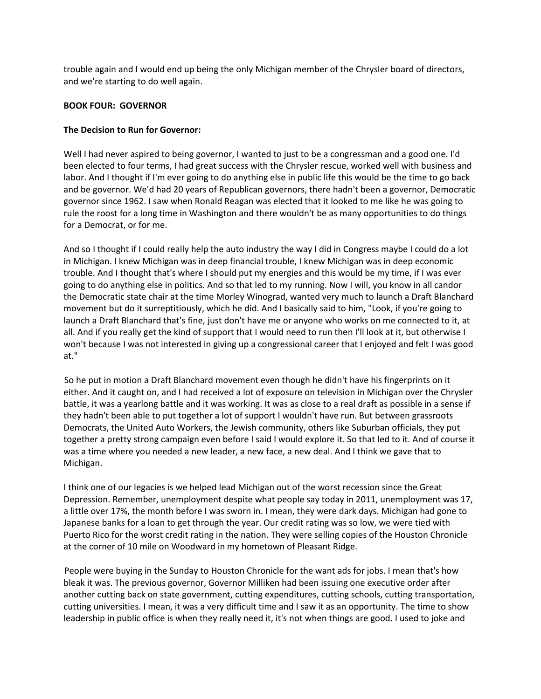trouble again and I would end up being the only Michigan member of the Chrysler board of directors, and we're starting to do well again.

#### **BOOK FOUR: GOVERNOR**

## **The Decision to Run for Governor:**

Well I had never aspired to being governor, I wanted to just to be a congressman and a good one. I'd been elected to four terms, I had great success with the Chrysler rescue, worked well with business and labor. And I thought if I'm ever going to do anything else in public life this would be the time to go back and be governor. We'd had 20 years of Republican governors, there hadn't been a governor, Democratic governor since 1962. I saw when Ronald Reagan was elected that it looked to me like he was going to rule the roost for a long time in Washington and there wouldn't be as many opportunities to do things for a Democrat, or for me.

And so I thought if I could really help the auto industry the way I did in Congress maybe I could do a lot in Michigan. I knew Michigan was in deep financial trouble, I knew Michigan was in deep economic trouble. And I thought that's where I should put my energies and this would be my time, if I was ever going to do anything else in politics. And so that led to my running. Now I will, you know in all candor the Democratic state chair at the time Morley Winograd, wanted very much to launch a Draft Blanchard movement but do it surreptitiously, which he did. And I basically said to him, "Look, if you're going to launch a Draft Blanchard that's fine, just don't have me or anyone who works on me connected to it, at all. And if you really get the kind of support that I would need to run then I'll look at it, but otherwise I won't because I was not interested in giving up a congressional career that I enjoyed and felt I was good at."

So he put in motion a Draft Blanchard movement even though he didn't have his fingerprints on it either. And it caught on, and I had received a lot of exposure on television in Michigan over the Chrysler battle, it was a yearlong battle and it was working. It was as close to a real draft as possible in a sense if they hadn't been able to put together a lot of support I wouldn't have run. But between grassroots Democrats, the United Auto Workers, the Jewish community, others like Suburban officials, they put together a pretty strong campaign even before I said I would explore it. So that led to it. And of course it was a time where you needed a new leader, a new face, a new deal. And I think we gave that to Michigan.

I think one of our legacies is we helped lead Michigan out of the worst recession since the Great Depression. Remember, unemployment despite what people say today in 2011, unemployment was 17, a little over 17%, the month before I was sworn in. I mean, they were dark days. Michigan had gone to Japanese banks for a loan to get through the year. Our credit rating was so low, we were tied with Puerto Rico for the worst credit rating in the nation. They were selling copies of the Houston Chronicle at the corner of 10 mile on Woodward in my hometown of Pleasant Ridge.

People were buying in the Sunday to Houston Chronicle for the want ads for jobs. I mean that's how bleak it was. The previous governor, Governor Milliken had been issuing one executive order after another cutting back on state government, cutting expenditures, cutting schools, cutting transportation, cutting universities. I mean, it was a very difficult time and I saw it as an opportunity. The time to show leadership in public office is when they really need it, it's not when things are good. I used to joke and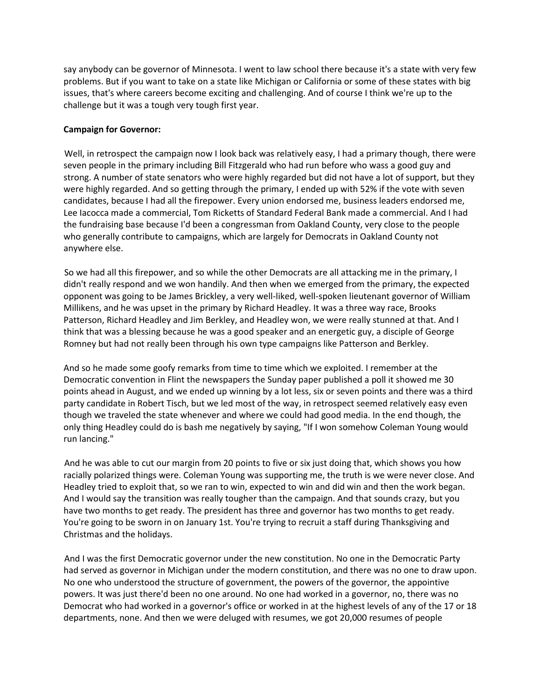say anybody can be governor of Minnesota. I went to law school there because it's a state with very few problems. But if you want to take on a state like Michigan or California or some of these states with big issues, that's where careers become exciting and challenging. And of course I think we're up to the challenge but it was a tough very tough first year.

## **Campaign for Governor:**

Well, in retrospect the campaign now I look back was relatively easy, I had a primary though, there were seven people in the primary including Bill Fitzgerald who had run before who wass a good guy and strong. A number of state senators who were highly regarded but did not have a lot of support, but they were highly regarded. And so getting through the primary, I ended up with 52% if the vote with seven candidates, because I had all the firepower. Every union endorsed me, business leaders endorsed me, Lee Iacocca made a commercial, Tom Ricketts of Standard Federal Bank made a commercial. And I had the fundraising base because I'd been a congressman from Oakland County, very close to the people who generally contribute to campaigns, which are largely for Democrats in Oakland County not anywhere else.

So we had all this firepower, and so while the other Democrats are all attacking me in the primary, I didn't really respond and we won handily. And then when we emerged from the primary, the expected opponent was going to be James Brickley, a very well-liked, well-spoken lieutenant governor of William Millikens, and he was upset in the primary by Richard Headley. It was a three way race, Brooks Patterson, Richard Headley and Jim Berkley, and Headley won, we were really stunned at that. And I think that was a blessing because he was a good speaker and an energetic guy, a disciple of George Romney but had not really been through his own type campaigns like Patterson and Berkley.

And so he made some goofy remarks from time to time which we exploited. I remember at the Democratic convention in Flint the newspapers the Sunday paper published a poll it showed me 30 points ahead in August, and we ended up winning by a lot less, six or seven points and there was a third party candidate in Robert Tisch, but we led most of the way, in retrospect seemed relatively easy even though we traveled the state whenever and where we could had good media. In the end though, the only thing Headley could do is bash me negatively by saying, "If I won somehow Coleman Young would run lancing."

And he was able to cut our margin from 20 points to five or six just doing that, which shows you how racially polarized things were. Coleman Young was supporting me, the truth is we were never close. And Headley tried to exploit that, so we ran to win, expected to win and did win and then the work began. And I would say the transition was really tougher than the campaign. And that sounds crazy, but you have two months to get ready. The president has three and governor has two months to get ready. You're going to be sworn in on January 1st. You're trying to recruit a staff during Thanksgiving and Christmas and the holidays.

And I was the first Democratic governor under the new constitution. No one in the Democratic Party had served as governor in Michigan under the modern constitution, and there was no one to draw upon. No one who understood the structure of government, the powers of the governor, the appointive powers. It was just there'd been no one around. No one had worked in a governor, no, there was no Democrat who had worked in a governor's office or worked in at the highest levels of any of the 17 or 18 departments, none. And then we were deluged with resumes, we got 20,000 resumes of people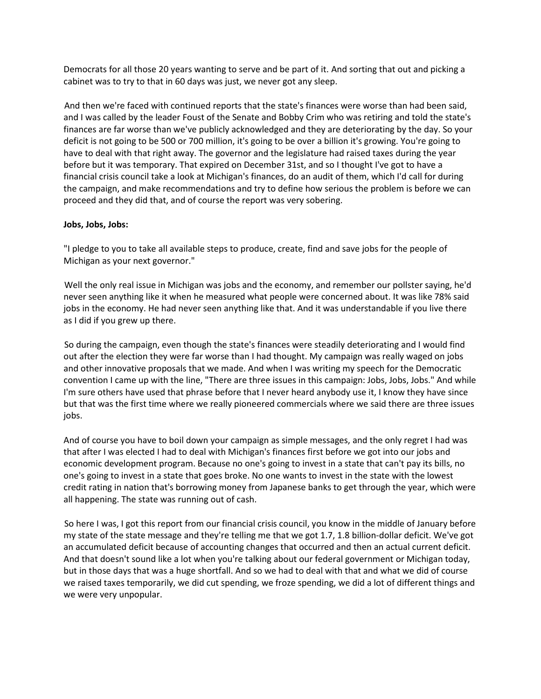Democrats for all those 20 years wanting to serve and be part of it. And sorting that out and picking a cabinet was to try to that in 60 days was just, we never got any sleep.

And then we're faced with continued reports that the state's finances were worse than had been said, and I was called by the leader Foust of the Senate and Bobby Crim who was retiring and told the state's finances are far worse than we've publicly acknowledged and they are deteriorating by the day. So your deficit is not going to be 500 or 700 million, it's going to be over a billion it's growing. You're going to have to deal with that right away. The governor and the legislature had raised taxes during the year before but it was temporary. That expired on December 31st, and so I thought I've got to have a financial crisis council take a look at Michigan's finances, do an audit of them, which I'd call for during the campaign, and make recommendations and try to define how serious the problem is before we can proceed and they did that, and of course the report was very sobering.

#### **Jobs, Jobs, Jobs:**

"I pledge to you to take all available steps to produce, create, find and save jobs for the people of Michigan as your next governor."

Well the only real issue in Michigan was jobs and the economy, and remember our pollster saying, he'd never seen anything like it when he measured what people were concerned about. It was like 78% said jobs in the economy. He had never seen anything like that. And it was understandable if you live there as I did if you grew up there.

So during the campaign, even though the state's finances were steadily deteriorating and I would find out after the election they were far worse than I had thought. My campaign was really waged on jobs and other innovative proposals that we made. And when I was writing my speech for the Democratic convention I came up with the line, "There are three issues in this campaign: Jobs, Jobs, Jobs." And while I'm sure others have used that phrase before that I never heard anybody use it, I know they have since but that was the first time where we really pioneered commercials where we said there are three issues jobs.

And of course you have to boil down your campaign as simple messages, and the only regret I had was that after I was elected I had to deal with Michigan's finances first before we got into our jobs and economic development program. Because no one's going to invest in a state that can't pay its bills, no one's going to invest in a state that goes broke. No one wants to invest in the state with the lowest credit rating in nation that's borrowing money from Japanese banks to get through the year, which were all happening. The state was running out of cash.

So here I was, I got this report from our financial crisis council, you know in the middle of January before my state of the state message and they're telling me that we got 1.7, 1.8 billion-dollar deficit. We've got an accumulated deficit because of accounting changes that occurred and then an actual current deficit. And that doesn't sound like a lot when you're talking about our federal government or Michigan today, but in those days that was a huge shortfall. And so we had to deal with that and what we did of course we raised taxes temporarily, we did cut spending, we froze spending, we did a lot of different things and we were very unpopular.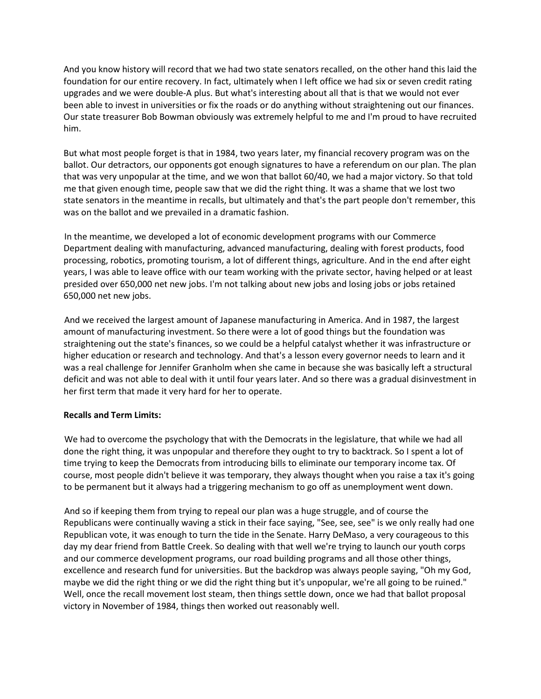And you know history will record that we had two state senators recalled, on the other hand this laid the foundation for our entire recovery. In fact, ultimately when I left office we had six or seven credit rating upgrades and we were double-A plus. But what's interesting about all that is that we would not ever been able to invest in universities or fix the roads or do anything without straightening out our finances. Our state treasurer Bob Bowman obviously was extremely helpful to me and I'm proud to have recruited him.

But what most people forget is that in 1984, two years later, my financial recovery program was on the ballot. Our detractors, our opponents got enough signatures to have a referendum on our plan. The plan that was very unpopular at the time, and we won that ballot 60/40, we had a major victory. So that told me that given enough time, people saw that we did the right thing. It was a shame that we lost two state senators in the meantime in recalls, but ultimately and that's the part people don't remember, this was on the ballot and we prevailed in a dramatic fashion.

In the meantime, we developed a lot of economic development programs with our Commerce Department dealing with manufacturing, advanced manufacturing, dealing with forest products, food processing, robotics, promoting tourism, a lot of different things, agriculture. And in the end after eight years, I was able to leave office with our team working with the private sector, having helped or at least presided over 650,000 net new jobs. I'm not talking about new jobs and losing jobs or jobs retained 650,000 net new jobs.

And we received the largest amount of Japanese manufacturing in America. And in 1987, the largest amount of manufacturing investment. So there were a lot of good things but the foundation was straightening out the state's finances, so we could be a helpful catalyst whether it was infrastructure or higher education or research and technology. And that's a lesson every governor needs to learn and it was a real challenge for Jennifer Granholm when she came in because she was basically left a structural deficit and was not able to deal with it until four years later. And so there was a gradual disinvestment in her first term that made it very hard for her to operate.

## **Recalls and Term Limits:**

We had to overcome the psychology that with the Democrats in the legislature, that while we had all done the right thing, it was unpopular and therefore they ought to try to backtrack. So I spent a lot of time trying to keep the Democrats from introducing bills to eliminate our temporary income tax. Of course, most people didn't believe it was temporary, they always thought when you raise a tax it's going to be permanent but it always had a triggering mechanism to go off as unemployment went down.

And so if keeping them from trying to repeal our plan was a huge struggle, and of course the Republicans were continually waving a stick in their face saying, "See, see, see" is we only really had one Republican vote, it was enough to turn the tide in the Senate. Harry DeMaso, a very courageous to this day my dear friend from Battle Creek. So dealing with that well we're trying to launch our youth corps and our commerce development programs, our road building programs and all those other things, excellence and research fund for universities. But the backdrop was always people saying, "Oh my God, maybe we did the right thing or we did the right thing but it's unpopular, we're all going to be ruined." Well, once the recall movement lost steam, then things settle down, once we had that ballot proposal victory in November of 1984, things then worked out reasonably well.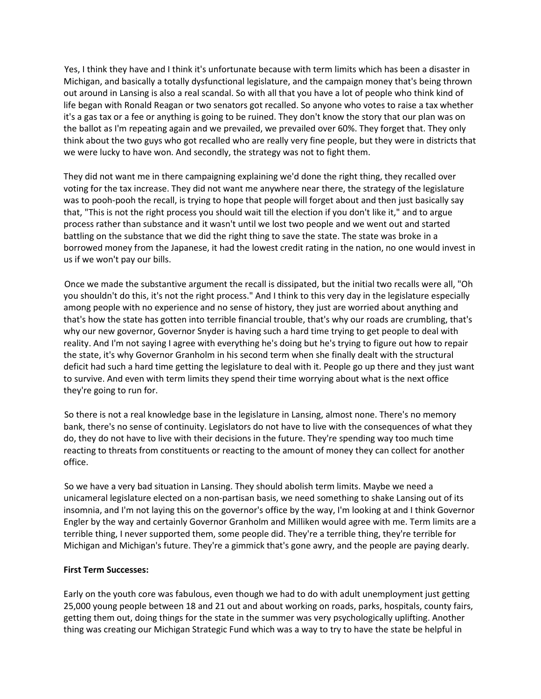Yes, I think they have and I think it's unfortunate because with term limits which has been a disaster in Michigan, and basically a totally dysfunctional legislature, and the campaign money that's being thrown out around in Lansing is also a real scandal. So with all that you have a lot of people who think kind of life began with Ronald Reagan or two senators got recalled. So anyone who votes to raise a tax whether it's a gas tax or a fee or anything is going to be ruined. They don't know the story that our plan was on the ballot as I'm repeating again and we prevailed, we prevailed over 60%. They forget that. They only think about the two guys who got recalled who are really very fine people, but they were in districts that we were lucky to have won. And secondly, the strategy was not to fight them.

They did not want me in there campaigning explaining we'd done the right thing, they recalled over voting for the tax increase. They did not want me anywhere near there, the strategy of the legislature was to pooh-pooh the recall, is trying to hope that people will forget about and then just basically say that, "This is not the right process you should wait till the election if you don't like it," and to argue process rather than substance and it wasn't until we lost two people and we went out and started battling on the substance that we did the right thing to save the state. The state was broke in a borrowed money from the Japanese, it had the lowest credit rating in the nation, no one would invest in us if we won't pay our bills.

Once we made the substantive argument the recall is dissipated, but the initial two recalls were all, "Oh you shouldn't do this, it's not the right process." And I think to this very day in the legislature especially among people with no experience and no sense of history, they just are worried about anything and that's how the state has gotten into terrible financial trouble, that's why our roads are crumbling, that's why our new governor, Governor Snyder is having such a hard time trying to get people to deal with reality. And I'm not saying I agree with everything he's doing but he's trying to figure out how to repair the state, it's why Governor Granholm in his second term when she finally dealt with the structural deficit had such a hard time getting the legislature to deal with it. People go up there and they just want to survive. And even with term limits they spend their time worrying about what is the next office they're going to run for.

So there is not a real knowledge base in the legislature in Lansing, almost none. There's no memory bank, there's no sense of continuity. Legislators do not have to live with the consequences of what they do, they do not have to live with their decisions in the future. They're spending way too much time reacting to threats from constituents or reacting to the amount of money they can collect for another office.

So we have a very bad situation in Lansing. They should abolish term limits. Maybe we need a unicameral legislature elected on a non-partisan basis, we need something to shake Lansing out of its insomnia, and I'm not laying this on the governor's office by the way, I'm looking at and I think Governor Engler by the way and certainly Governor Granholm and Milliken would agree with me. Term limits are a terrible thing, I never supported them, some people did. They're a terrible thing, they're terrible for Michigan and Michigan's future. They're a gimmick that's gone awry, and the people are paying dearly.

## **First Term Successes:**

Early on the youth core was fabulous, even though we had to do with adult unemployment just getting 25,000 young people between 18 and 21 out and about working on roads, parks, hospitals, county fairs, getting them out, doing things for the state in the summer was very psychologically uplifting. Another thing was creating our Michigan Strategic Fund which was a way to try to have the state be helpful in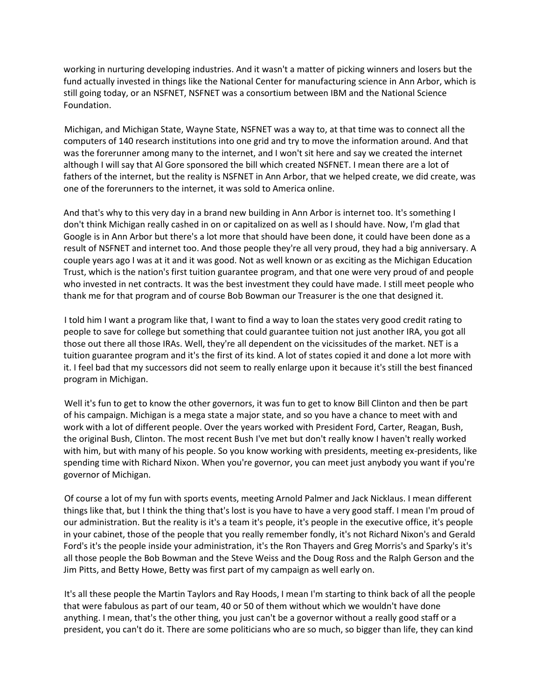working in nurturing developing industries. And it wasn't a matter of picking winners and losers but the fund actually invested in things like the National Center for manufacturing science in Ann Arbor, which is still going today, or an NSFNET, NSFNET was a consortium between IBM and the National Science Foundation.

Michigan, and Michigan State, Wayne State, NSFNET was a way to, at that time was to connect all the computers of 140 research institutions into one grid and try to move the information around. And that was the forerunner among many to the internet, and I won't sit here and say we created the internet although I will say that Al Gore sponsored the bill which created NSFNET. I mean there are a lot of fathers of the internet, but the reality is NSFNET in Ann Arbor, that we helped create, we did create, was one of the forerunners to the internet, it was sold to America online.

And that's why to this very day in a brand new building in Ann Arbor is internet too. It's something I don't think Michigan really cashed in on or capitalized on as well as I should have. Now, I'm glad that Google is in Ann Arbor but there's a lot more that should have been done, it could have been done as a result of NSFNET and internet too. And those people they're all very proud, they had a big anniversary. A couple years ago I was at it and it was good. Not as well known or as exciting as the Michigan Education Trust, which is the nation's first tuition guarantee program, and that one were very proud of and people who invested in net contracts. It was the best investment they could have made. I still meet people who thank me for that program and of course Bob Bowman our Treasurer is the one that designed it.

I told him I want a program like that, I want to find a way to loan the states very good credit rating to people to save for college but something that could guarantee tuition not just another IRA, you got all those out there all those IRAs. Well, they're all dependent on the vicissitudes of the market. NET is a tuition guarantee program and it's the first of its kind. A lot of states copied it and done a lot more with it. I feel bad that my successors did not seem to really enlarge upon it because it's still the best financed program in Michigan.

Well it's fun to get to know the other governors, it was fun to get to know Bill Clinton and then be part of his campaign. Michigan is a mega state a major state, and so you have a chance to meet with and work with a lot of different people. Over the years worked with President Ford, Carter, Reagan, Bush, the original Bush, Clinton. The most recent Bush I've met but don't really know I haven't really worked with him, but with many of his people. So you know working with presidents, meeting ex-presidents, like spending time with Richard Nixon. When you're governor, you can meet just anybody you want if you're governor of Michigan.

Of course a lot of my fun with sports events, meeting Arnold Palmer and Jack Nicklaus. I mean different things like that, but I think the thing that's lost is you have to have a very good staff. I mean I'm proud of our administration. But the reality is it's a team it's people, it's people in the executive office, it's people in your cabinet, those of the people that you really remember fondly, it's not Richard Nixon's and Gerald Ford's it's the people inside your administration, it's the Ron Thayers and Greg Morris's and Sparky's it's all those people the Bob Bowman and the Steve Weiss and the Doug Ross and the Ralph Gerson and the Jim Pitts, and Betty Howe, Betty was first part of my campaign as well early on.

It's all these people the Martin Taylors and Ray Hoods, I mean I'm starting to think back of all the people that were fabulous as part of our team, 40 or 50 of them without which we wouldn't have done anything. I mean, that's the other thing, you just can't be a governor without a really good staff or a president, you can't do it. There are some politicians who are so much, so bigger than life, they can kind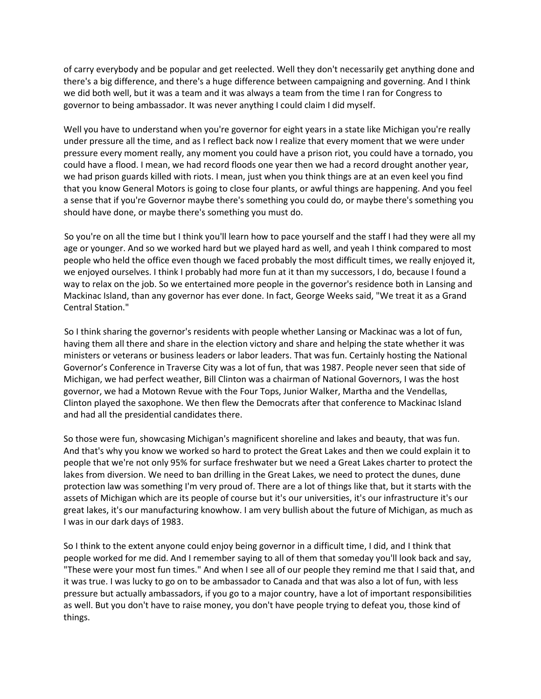of carry everybody and be popular and get reelected. Well they don't necessarily get anything done and there's a big difference, and there's a huge difference between campaigning and governing. And I think we did both well, but it was a team and it was always a team from the time I ran for Congress to governor to being ambassador. It was never anything I could claim I did myself.

Well you have to understand when you're governor for eight years in a state like Michigan you're really under pressure all the time, and as I reflect back now I realize that every moment that we were under pressure every moment really, any moment you could have a prison riot, you could have a tornado, you could have a flood. I mean, we had record floods one year then we had a record drought another year, we had prison guards killed with riots. I mean, just when you think things are at an even keel you find that you know General Motors is going to close four plants, or awful things are happening. And you feel a sense that if you're Governor maybe there's something you could do, or maybe there's something you should have done, or maybe there's something you must do.

So you're on all the time but I think you'll learn how to pace yourself and the staff I had they were all my age or younger. And so we worked hard but we played hard as well, and yeah I think compared to most people who held the office even though we faced probably the most difficult times, we really enjoyed it, we enjoyed ourselves. I think I probably had more fun at it than my successors, I do, because I found a way to relax on the job. So we entertained more people in the governor's residence both in Lansing and Mackinac Island, than any governor has ever done. In fact, George Weeks said, "We treat it as a Grand Central Station."

So I think sharing the governor's residents with people whether Lansing or Mackinac was a lot of fun, having them all there and share in the election victory and share and helping the state whether it was ministers or veterans or business leaders or labor leaders. That was fun. Certainly hosting the National Governor's Conference in Traverse City was a lot of fun, that was 1987. People never seen that side of Michigan, we had perfect weather, Bill Clinton was a chairman of National Governors, I was the host governor, we had a Motown Revue with the Four Tops, Junior Walker, Martha and the Vendellas, Clinton played the saxophone. We then flew the Democrats after that conference to Mackinac Island and had all the presidential candidates there.

So those were fun, showcasing Michigan's magnificent shoreline and lakes and beauty, that was fun. And that's why you know we worked so hard to protect the Great Lakes and then we could explain it to people that we're not only 95% for surface freshwater but we need a Great Lakes charter to protect the lakes from diversion. We need to ban drilling in the Great Lakes, we need to protect the dunes, dune protection law was something I'm very proud of. There are a lot of things like that, but it starts with the assets of Michigan which are its people of course but it's our universities, it's our infrastructure it's our great lakes, it's our manufacturing knowhow. I am very bullish about the future of Michigan, as much as I was in our dark days of 1983.

So I think to the extent anyone could enjoy being governor in a difficult time, I did, and I think that people worked for me did. And I remember saying to all of them that someday you'll look back and say, "These were your most fun times." And when I see all of our people they remind me that I said that, and it was true. I was lucky to go on to be ambassador to Canada and that was also a lot of fun, with less pressure but actually ambassadors, if you go to a major country, have a lot of important responsibilities as well. But you don't have to raise money, you don't have people trying to defeat you, those kind of things.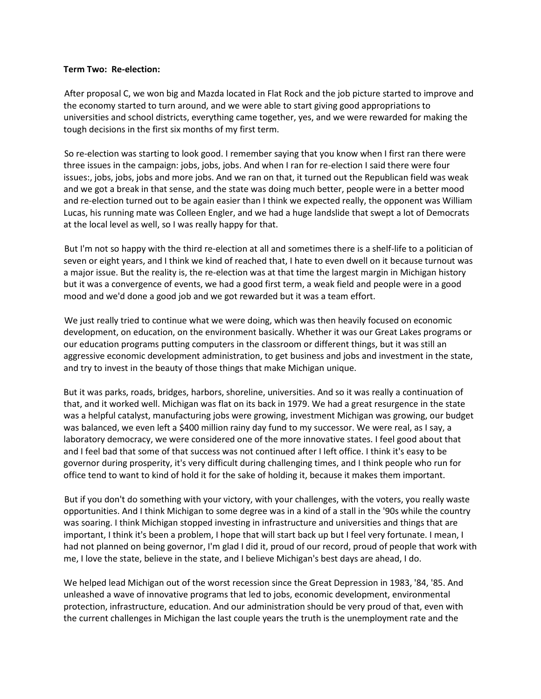#### **Term Two: Re-election:**

After proposal C, we won big and Mazda located in Flat Rock and the job picture started to improve and the economy started to turn around, and we were able to start giving good appropriations to universities and school districts, everything came together, yes, and we were rewarded for making the tough decisions in the first six months of my first term.

So re-election was starting to look good. I remember saying that you know when I first ran there were three issues in the campaign: jobs, jobs, jobs. And when I ran for re-election I said there were four issues:, jobs, jobs, jobs and more jobs. And we ran on that, it turned out the Republican field was weak and we got a break in that sense, and the state was doing much better, people were in a better mood and re-election turned out to be again easier than I think we expected really, the opponent was William Lucas, his running mate was Colleen Engler, and we had a huge landslide that swept a lot of Democrats at the local level as well, so I was really happy for that.

But I'm not so happy with the third re-election at all and sometimes there is a shelf-life to a politician of seven or eight years, and I think we kind of reached that, I hate to even dwell on it because turnout was a major issue. But the reality is, the re-election was at that time the largest margin in Michigan history but it was a convergence of events, we had a good first term, a weak field and people were in a good mood and we'd done a good job and we got rewarded but it was a team effort.

We just really tried to continue what we were doing, which was then heavily focused on economic development, on education, on the environment basically. Whether it was our Great Lakes programs or our education programs putting computers in the classroom or different things, but it was still an aggressive economic development administration, to get business and jobs and investment in the state, and try to invest in the beauty of those things that make Michigan unique.

But it was parks, roads, bridges, harbors, shoreline, universities. And so it was really a continuation of that, and it worked well. Michigan was flat on its back in 1979. We had a great resurgence in the state was a helpful catalyst, manufacturing jobs were growing, investment Michigan was growing, our budget was balanced, we even left a \$400 million rainy day fund to my successor. We were real, as I say, a laboratory democracy, we were considered one of the more innovative states. I feel good about that and I feel bad that some of that success was not continued after I left office. I think it's easy to be governor during prosperity, it's very difficult during challenging times, and I think people who run for office tend to want to kind of hold it for the sake of holding it, because it makes them important.

But if you don't do something with your victory, with your challenges, with the voters, you really waste opportunities. And I think Michigan to some degree was in a kind of a stall in the '90s while the country was soaring. I think Michigan stopped investing in infrastructure and universities and things that are important, I think it's been a problem, I hope that will start back up but I feel very fortunate. I mean, I had not planned on being governor, I'm glad I did it, proud of our record, proud of people that work with me, I love the state, believe in the state, and I believe Michigan's best days are ahead, I do.

We helped lead Michigan out of the worst recession since the Great Depression in 1983, '84, '85. And unleashed a wave of innovative programs that led to jobs, economic development, environmental protection, infrastructure, education. And our administration should be very proud of that, even with the current challenges in Michigan the last couple years the truth is the unemployment rate and the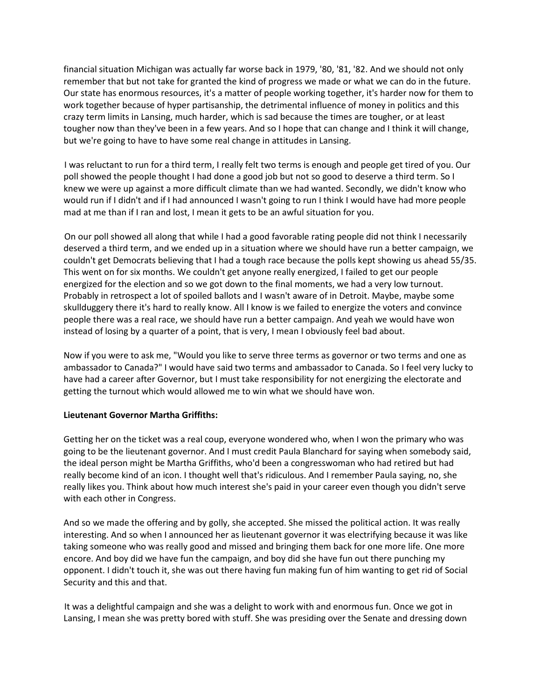financial situation Michigan was actually far worse back in 1979, '80, '81, '82. And we should not only remember that but not take for granted the kind of progress we made or what we can do in the future. Our state has enormous resources, it's a matter of people working together, it's harder now for them to work together because of hyper partisanship, the detrimental influence of money in politics and this crazy term limits in Lansing, much harder, which is sad because the times are tougher, or at least tougher now than they've been in a few years. And so I hope that can change and I think it will change, but we're going to have to have some real change in attitudes in Lansing.

I was reluctant to run for a third term, I really felt two terms is enough and people get tired of you. Our poll showed the people thought I had done a good job but not so good to deserve a third term. So I knew we were up against a more difficult climate than we had wanted. Secondly, we didn't know who would run if I didn't and if I had announced I wasn't going to run I think I would have had more people mad at me than if I ran and lost, I mean it gets to be an awful situation for you.

On our poll showed all along that while I had a good favorable rating people did not think I necessarily deserved a third term, and we ended up in a situation where we should have run a better campaign, we couldn't get Democrats believing that I had a tough race because the polls kept showing us ahead 55/35. This went on for six months. We couldn't get anyone really energized, I failed to get our people energized for the election and so we got down to the final moments, we had a very low turnout. Probably in retrospect a lot of spoiled ballots and I wasn't aware of in Detroit. Maybe, maybe some skullduggery there it's hard to really know. All I know is we failed to energize the voters and convince people there was a real race, we should have run a better campaign. And yeah we would have won instead of losing by a quarter of a point, that is very, I mean I obviously feel bad about.

Now if you were to ask me, "Would you like to serve three terms as governor or two terms and one as ambassador to Canada?" I would have said two terms and ambassador to Canada. So I feel very lucky to have had a career after Governor, but I must take responsibility for not energizing the electorate and getting the turnout which would allowed me to win what we should have won.

## **Lieutenant Governor Martha Griffiths:**

Getting her on the ticket was a real coup, everyone wondered who, when I won the primary who was going to be the lieutenant governor. And I must credit Paula Blanchard for saying when somebody said, the ideal person might be Martha Griffiths, who'd been a congresswoman who had retired but had really become kind of an icon. I thought well that's ridiculous. And I remember Paula saying, no, she really likes you. Think about how much interest she's paid in your career even though you didn't serve with each other in Congress.

And so we made the offering and by golly, she accepted. She missed the political action. It was really interesting. And so when I announced her as lieutenant governor it was electrifying because it was like taking someone who was really good and missed and bringing them back for one more life. One more encore. And boy did we have fun the campaign, and boy did she have fun out there punching my opponent. I didn't touch it, she was out there having fun making fun of him wanting to get rid of Social Security and this and that.

It was a delightful campaign and she was a delight to work with and enormous fun. Once we got in Lansing, I mean she was pretty bored with stuff. She was presiding over the Senate and dressing down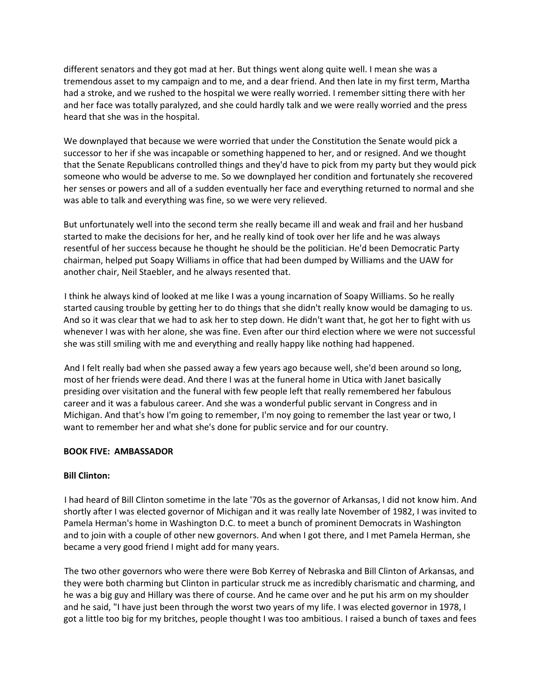different senators and they got mad at her. But things went along quite well. I mean she was a tremendous asset to my campaign and to me, and a dear friend. And then late in my first term, Martha had a stroke, and we rushed to the hospital we were really worried. I remember sitting there with her and her face was totally paralyzed, and she could hardly talk and we were really worried and the press heard that she was in the hospital.

We downplayed that because we were worried that under the Constitution the Senate would pick a successor to her if she was incapable or something happened to her, and or resigned. And we thought that the Senate Republicans controlled things and they'd have to pick from my party but they would pick someone who would be adverse to me. So we downplayed her condition and fortunately she recovered her senses or powers and all of a sudden eventually her face and everything returned to normal and she was able to talk and everything was fine, so we were very relieved.

But unfortunately well into the second term she really became ill and weak and frail and her husband started to make the decisions for her, and he really kind of took over her life and he was always resentful of her success because he thought he should be the politician. He'd been Democratic Party chairman, helped put Soapy Williams in office that had been dumped by Williams and the UAW for another chair, Neil Staebler, and he always resented that.

I think he always kind of looked at me like I was a young incarnation of Soapy Williams. So he really started causing trouble by getting her to do things that she didn't really know would be damaging to us. And so it was clear that we had to ask her to step down. He didn't want that, he got her to fight with us whenever I was with her alone, she was fine. Even after our third election where we were not successful she was still smiling with me and everything and really happy like nothing had happened.

And I felt really bad when she passed away a few years ago because well, she'd been around so long, most of her friends were dead. And there I was at the funeral home in Utica with Janet basically presiding over visitation and the funeral with few people left that really remembered her fabulous career and it was a fabulous career. And she was a wonderful public servant in Congress and in Michigan. And that's how I'm going to remember, I'm noy going to remember the last year or two, I want to remember her and what she's done for public service and for our country.

## **BOOK FIVE: AMBASSADOR**

## **Bill Clinton:**

I had heard of Bill Clinton sometime in the late '70s as the governor of Arkansas, I did not know him. And shortly after I was elected governor of Michigan and it was really late November of 1982, I was invited to Pamela Herman's home in Washington D.C. to meet a bunch of prominent Democrats in Washington and to join with a couple of other new governors. And when I got there, and I met Pamela Herman, she became a very good friend I might add for many years.

The two other governors who were there were Bob Kerrey of Nebraska and Bill Clinton of Arkansas, and they were both charming but Clinton in particular struck me as incredibly charismatic and charming, and he was a big guy and Hillary was there of course. And he came over and he put his arm on my shoulder and he said, "I have just been through the worst two years of my life. I was elected governor in 1978, I got a little too big for my britches, people thought I was too ambitious. I raised a bunch of taxes and fees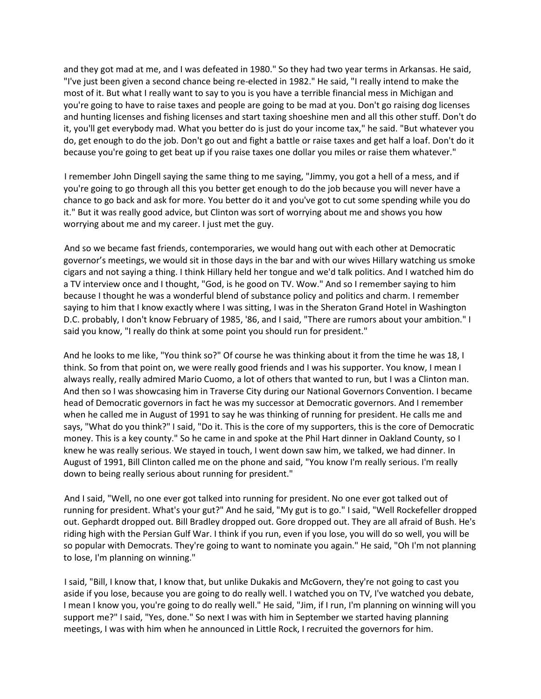and they got mad at me, and I was defeated in 1980." So they had two year terms in Arkansas. He said, "I've just been given a second chance being re-elected in 1982." He said, "I really intend to make the most of it. But what I really want to say to you is you have a terrible financial mess in Michigan and you're going to have to raise taxes and people are going to be mad at you. Don't go raising dog licenses and hunting licenses and fishing licenses and start taxing shoeshine men and all this other stuff. Don't do it, you'll get everybody mad. What you better do is just do your income tax," he said. "But whatever you do, get enough to do the job. Don't go out and fight a battle or raise taxes and get half a loaf. Don't do it because you're going to get beat up if you raise taxes one dollar you miles or raise them whatever."

I remember John Dingell saying the same thing to me saying, "Jimmy, you got a hell of a mess, and if you're going to go through all this you better get enough to do the job because you will never have a chance to go back and ask for more. You better do it and you've got to cut some spending while you do it." But it was really good advice, but Clinton was sort of worrying about me and shows you how worrying about me and my career. I just met the guy.

And so we became fast friends, contemporaries, we would hang out with each other at Democratic governor's meetings, we would sit in those days in the bar and with our wives Hillary watching us smoke cigars and not saying a thing. I think Hillary held her tongue and we'd talk politics. And I watched him do a TV interview once and I thought, "God, is he good on TV. Wow." And so I remember saying to him because I thought he was a wonderful blend of substance policy and politics and charm. I remember saying to him that I know exactly where I was sitting, I was in the Sheraton Grand Hotel in Washington D.C. probably, I don't know February of 1985, '86, and I said, "There are rumors about your ambition." I said you know, "I really do think at some point you should run for president."

And he looks to me like, "You think so?" Of course he was thinking about it from the time he was 18, I think. So from that point on, we were really good friends and I was his supporter. You know, I mean I always really, really admired Mario Cuomo, a lot of others that wanted to run, but I was a Clinton man. And then so I was showcasing him in Traverse City during our National Governors Convention. I became head of Democratic governors in fact he was my successor at Democratic governors. And I remember when he called me in August of 1991 to say he was thinking of running for president. He calls me and says, "What do you think?" I said, "Do it. This is the core of my supporters, this is the core of Democratic money. This is a key county." So he came in and spoke at the Phil Hart dinner in Oakland County, so I knew he was really serious. We stayed in touch, I went down saw him, we talked, we had dinner. In August of 1991, Bill Clinton called me on the phone and said, "You know I'm really serious. I'm really down to being really serious about running for president."

And I said, "Well, no one ever got talked into running for president. No one ever got talked out of running for president. What's your gut?" And he said, "My gut is to go." I said, "Well Rockefeller dropped out. Gephardt dropped out. Bill Bradley dropped out. Gore dropped out. They are all afraid of Bush. He's riding high with the Persian Gulf War. I think if you run, even if you lose, you will do so well, you will be so popular with Democrats. They're going to want to nominate you again." He said, "Oh I'm not planning to lose, I'm planning on winning."

I said, "Bill, I know that, I know that, but unlike Dukakis and McGovern, they're not going to cast you aside if you lose, because you are going to do really well. I watched you on TV, I've watched you debate, I mean I know you, you're going to do really well." He said, "Jim, if I run, I'm planning on winning will you support me?" I said, "Yes, done." So next I was with him in September we started having planning meetings, I was with him when he announced in Little Rock, I recruited the governors for him.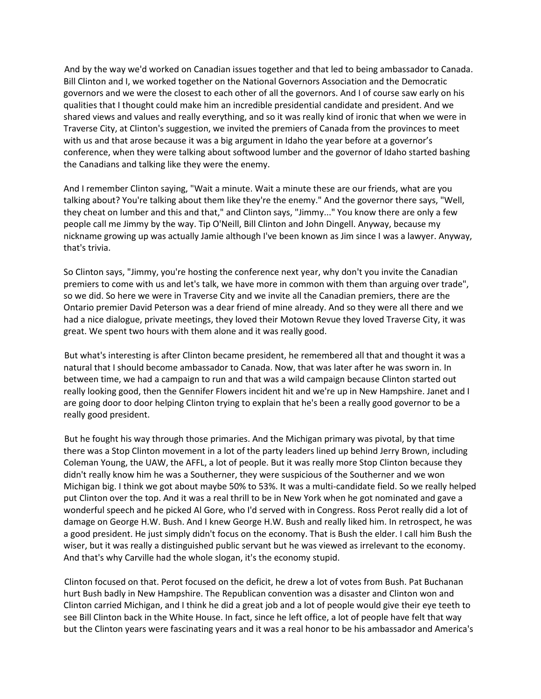And by the way we'd worked on Canadian issues together and that led to being ambassador to Canada. Bill Clinton and I, we worked together on the National Governors Association and the Democratic governors and we were the closest to each other of all the governors. And I of course saw early on his qualities that I thought could make him an incredible presidential candidate and president. And we shared views and values and really everything, and so it was really kind of ironic that when we were in Traverse City, at Clinton's suggestion, we invited the premiers of Canada from the provinces to meet with us and that arose because it was a big argument in Idaho the year before at a governor's conference, when they were talking about softwood lumber and the governor of Idaho started bashing the Canadians and talking like they were the enemy.

And I remember Clinton saying, "Wait a minute. Wait a minute these are our friends, what are you talking about? You're talking about them like they're the enemy." And the governor there says, "Well, they cheat on lumber and this and that," and Clinton says, "Jimmy..." You know there are only a few people call me Jimmy by the way. Tip O'Neill, Bill Clinton and John Dingell. Anyway, because my nickname growing up was actually Jamie although I've been known as Jim since I was a lawyer. Anyway, that's trivia.

So Clinton says, "Jimmy, you're hosting the conference next year, why don't you invite the Canadian premiers to come with us and let's talk, we have more in common with them than arguing over trade", so we did. So here we were in Traverse City and we invite all the Canadian premiers, there are the Ontario premier David Peterson was a dear friend of mine already. And so they were all there and we had a nice dialogue, private meetings, they loved their Motown Revue they loved Traverse City, it was great. We spent two hours with them alone and it was really good.

But what's interesting is after Clinton became president, he remembered all that and thought it was a natural that I should become ambassador to Canada. Now, that was later after he was sworn in. In between time, we had a campaign to run and that was a wild campaign because Clinton started out really looking good, then the Gennifer Flowers incident hit and we're up in New Hampshire. Janet and I are going door to door helping Clinton trying to explain that he's been a really good governor to be a really good president.

But he fought his way through those primaries. And the Michigan primary was pivotal, by that time there was a Stop Clinton movement in a lot of the party leaders lined up behind Jerry Brown, including Coleman Young, the UAW, the AFFL, a lot of people. But it was really more Stop Clinton because they didn't really know him he was a Southerner, they were suspicious of the Southerner and we won Michigan big. I think we got about maybe 50% to 53%. It was a multi-candidate field. So we really helped put Clinton over the top. And it was a real thrill to be in New York when he got nominated and gave a wonderful speech and he picked Al Gore, who I'd served with in Congress. Ross Perot really did a lot of damage on George H.W. Bush. And I knew George H.W. Bush and really liked him. In retrospect, he was a good president. He just simply didn't focus on the economy. That is Bush the elder. I call him Bush the wiser, but it was really a distinguished public servant but he was viewed as irrelevant to the economy. And that's why Carville had the whole slogan, it's the economy stupid.

Clinton focused on that. Perot focused on the deficit, he drew a lot of votes from Bush. Pat Buchanan hurt Bush badly in New Hampshire. The Republican convention was a disaster and Clinton won and Clinton carried Michigan, and I think he did a great job and a lot of people would give their eye teeth to see Bill Clinton back in the White House. In fact, since he left office, a lot of people have felt that way but the Clinton years were fascinating years and it was a real honor to be his ambassador and America's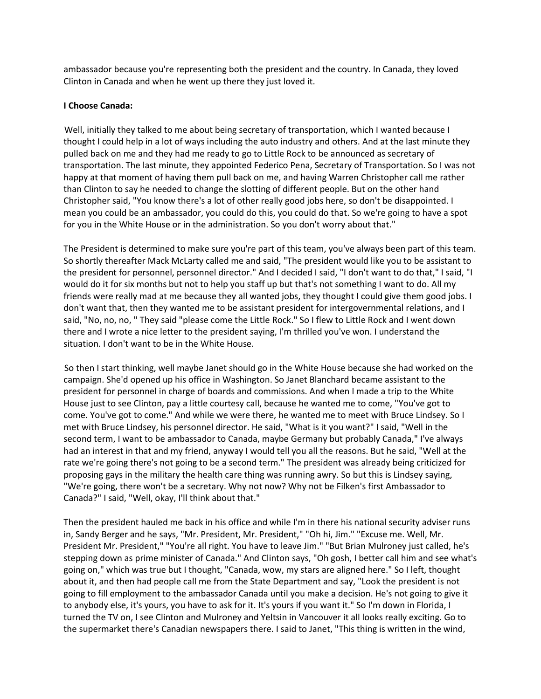ambassador because you're representing both the president and the country. In Canada, they loved Clinton in Canada and when he went up there they just loved it.

## **I Choose Canada:**

Well, initially they talked to me about being secretary of transportation, which I wanted because I thought I could help in a lot of ways including the auto industry and others. And at the last minute they pulled back on me and they had me ready to go to Little Rock to be announced as secretary of transportation. The last minute, they appointed Federico Pena, Secretary of Transportation. So I was not happy at that moment of having them pull back on me, and having Warren Christopher call me rather than Clinton to say he needed to change the slotting of different people. But on the other hand Christopher said, "You know there's a lot of other really good jobs here, so don't be disappointed. I mean you could be an ambassador, you could do this, you could do that. So we're going to have a spot for you in the White House or in the administration. So you don't worry about that."

The President is determined to make sure you're part of this team, you've always been part of this team. So shortly thereafter Mack McLarty called me and said, "The president would like you to be assistant to the president for personnel, personnel director." And I decided I said, "I don't want to do that," I said, "I would do it for six months but not to help you staff up but that's not something I want to do. All my friends were really mad at me because they all wanted jobs, they thought I could give them good jobs. I don't want that, then they wanted me to be assistant president for intergovernmental relations, and I said, "No, no, no, " They said "please come the Little Rock." So I flew to Little Rock and I went down there and I wrote a nice letter to the president saying, I'm thrilled you've won. I understand the situation. I don't want to be in the White House.

So then I start thinking, well maybe Janet should go in the White House because she had worked on the campaign. She'd opened up his office in Washington. So Janet Blanchard became assistant to the president for personnel in charge of boards and commissions. And when I made a trip to the White House just to see Clinton, pay a little courtesy call, because he wanted me to come, "You've got to come. You've got to come." And while we were there, he wanted me to meet with Bruce Lindsey. So I met with Bruce Lindsey, his personnel director. He said, "What is it you want?" I said, "Well in the second term, I want to be ambassador to Canada, maybe Germany but probably Canada," I've always had an interest in that and my friend, anyway I would tell you all the reasons. But he said, "Well at the rate we're going there's not going to be a second term." The president was already being criticized for proposing gays in the military the health care thing was running awry. So but this is Lindsey saying, "We're going, there won't be a secretary. Why not now? Why not be Filken's first Ambassador to Canada?" I said, "Well, okay, I'll think about that."

Then the president hauled me back in his office and while I'm in there his national security adviser runs in, Sandy Berger and he says, "Mr. President, Mr. President," "Oh hi, Jim." "Excuse me. Well, Mr. President Mr. President," "You're all right. You have to leave Jim." "But Brian Mulroney just called, he's stepping down as prime minister of Canada." And Clinton says, "Oh gosh, I better call him and see what's going on," which was true but I thought, "Canada, wow, my stars are aligned here." So I left, thought about it, and then had people call me from the State Department and say, "Look the president is not going to fill employment to the ambassador Canada until you make a decision. He's not going to give it to anybody else, it's yours, you have to ask for it. It's yours if you want it." So I'm down in Florida, I turned the TV on, I see Clinton and Mulroney and Yeltsin in Vancouver it all looks really exciting. Go to the supermarket there's Canadian newspapers there. I said to Janet, "This thing is written in the wind,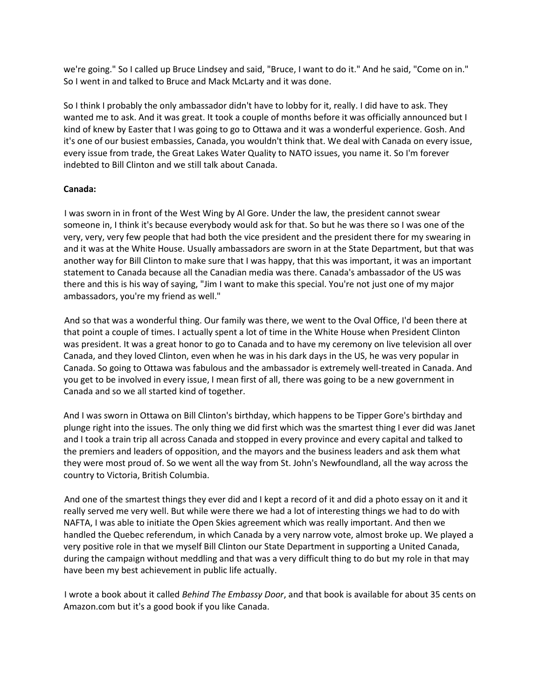we're going." So I called up Bruce Lindsey and said, "Bruce, I want to do it." And he said, "Come on in." So I went in and talked to Bruce and Mack McLarty and it was done.

So I think I probably the only ambassador didn't have to lobby for it, really. I did have to ask. They wanted me to ask. And it was great. It took a couple of months before it was officially announced but I kind of knew by Easter that I was going to go to Ottawa and it was a wonderful experience. Gosh. And it's one of our busiest embassies, Canada, you wouldn't think that. We deal with Canada on every issue, every issue from trade, the Great Lakes Water Quality to NATO issues, you name it. So I'm forever indebted to Bill Clinton and we still talk about Canada.

## **Canada:**

I was sworn in in front of the West Wing by Al Gore. Under the law, the president cannot swear someone in, I think it's because everybody would ask for that. So but he was there so I was one of the very, very, very few people that had both the vice president and the president there for my swearing in and it was at the White House. Usually ambassadors are sworn in at the State Department, but that was another way for Bill Clinton to make sure that I was happy, that this was important, it was an important statement to Canada because all the Canadian media was there. Canada's ambassador of the US was there and this is his way of saying, "Jim I want to make this special. You're not just one of my major ambassadors, you're my friend as well."

And so that was a wonderful thing. Our family was there, we went to the Oval Office, I'd been there at that point a couple of times. I actually spent a lot of time in the White House when President Clinton was president. It was a great honor to go to Canada and to have my ceremony on live television all over Canada, and they loved Clinton, even when he was in his dark days in the US, he was very popular in Canada. So going to Ottawa was fabulous and the ambassador is extremely well-treated in Canada. And you get to be involved in every issue, I mean first of all, there was going to be a new government in Canada and so we all started kind of together.

And I was sworn in Ottawa on Bill Clinton's birthday, which happens to be Tipper Gore's birthday and plunge right into the issues. The only thing we did first which was the smartest thing I ever did was Janet and I took a train trip all across Canada and stopped in every province and every capital and talked to the premiers and leaders of opposition, and the mayors and the business leaders and ask them what they were most proud of. So we went all the way from St. John's Newfoundland, all the way across the country to Victoria, British Columbia.

And one of the smartest things they ever did and I kept a record of it and did a photo essay on it and it really served me very well. But while were there we had a lot of interesting things we had to do with NAFTA, I was able to initiate the Open Skies agreement which was really important. And then we handled the Quebec referendum, in which Canada by a very narrow vote, almost broke up. We played a very positive role in that we myself Bill Clinton our State Department in supporting a United Canada, during the campaign without meddling and that was a very difficult thing to do but my role in that may have been my best achievement in public life actually.

I wrote a book about it called *Behind The Embassy Door*, and that book is available for about 35 cents on Amazon.com but it's a good book if you like Canada.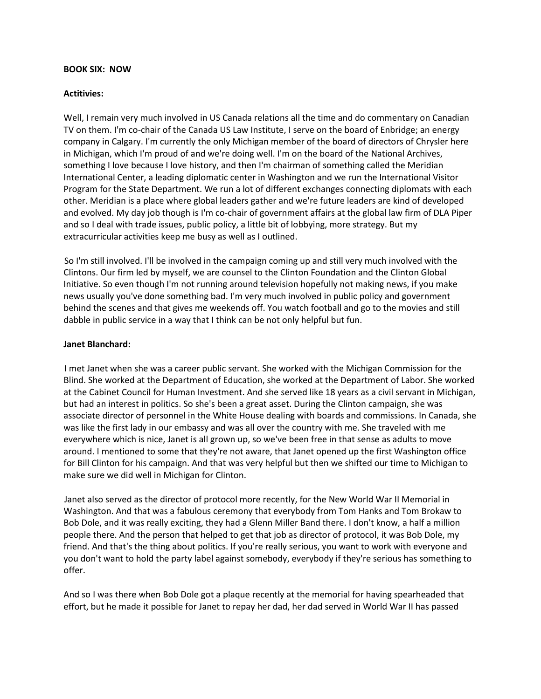#### **BOOK SIX: NOW**

#### **Actitivies:**

Well, I remain very much involved in US Canada relations all the time and do commentary on Canadian TV on them. I'm co-chair of the Canada US Law Institute, I serve on the board of Enbridge; an energy company in Calgary. I'm currently the only Michigan member of the board of directors of Chrysler here in Michigan, which I'm proud of and we're doing well. I'm on the board of the National Archives, something I love because I love history, and then I'm chairman of something called the Meridian International Center, a leading diplomatic center in Washington and we run the International Visitor Program for the State Department. We run a lot of different exchanges connecting diplomats with each other. Meridian is a place where global leaders gather and we're future leaders are kind of developed and evolved. My day job though is I'm co-chair of government affairs at the global law firm of DLA Piper and so I deal with trade issues, public policy, a little bit of lobbying, more strategy. But my extracurricular activities keep me busy as well as I outlined.

So I'm still involved. I'll be involved in the campaign coming up and still very much involved with the Clintons. Our firm led by myself, we are counsel to the Clinton Foundation and the Clinton Global Initiative. So even though I'm not running around television hopefully not making news, if you make news usually you've done something bad. I'm very much involved in public policy and government behind the scenes and that gives me weekends off. You watch football and go to the movies and still dabble in public service in a way that I think can be not only helpful but fun.

#### **Janet Blanchard:**

I met Janet when she was a career public servant. She worked with the Michigan Commission for the Blind. She worked at the Department of Education, she worked at the Department of Labor. She worked at the Cabinet Council for Human Investment. And she served like 18 years as a civil servant in Michigan, but had an interest in politics. So she's been a great asset. During the Clinton campaign, she was associate director of personnel in the White House dealing with boards and commissions. In Canada, she was like the first lady in our embassy and was all over the country with me. She traveled with me everywhere which is nice, Janet is all grown up, so we've been free in that sense as adults to move around. I mentioned to some that they're not aware, that Janet opened up the first Washington office for Bill Clinton for his campaign. And that was very helpful but then we shifted our time to Michigan to make sure we did well in Michigan for Clinton.

Janet also served as the director of protocol more recently, for the New World War II Memorial in Washington. And that was a fabulous ceremony that everybody from Tom Hanks and Tom Brokaw to Bob Dole, and it was really exciting, they had a Glenn Miller Band there. I don't know, a half a million people there. And the person that helped to get that job as director of protocol, it was Bob Dole, my friend. And that's the thing about politics. If you're really serious, you want to work with everyone and you don't want to hold the party label against somebody, everybody if they're serious has something to offer.

And so I was there when Bob Dole got a plaque recently at the memorial for having spearheaded that effort, but he made it possible for Janet to repay her dad, her dad served in World War II has passed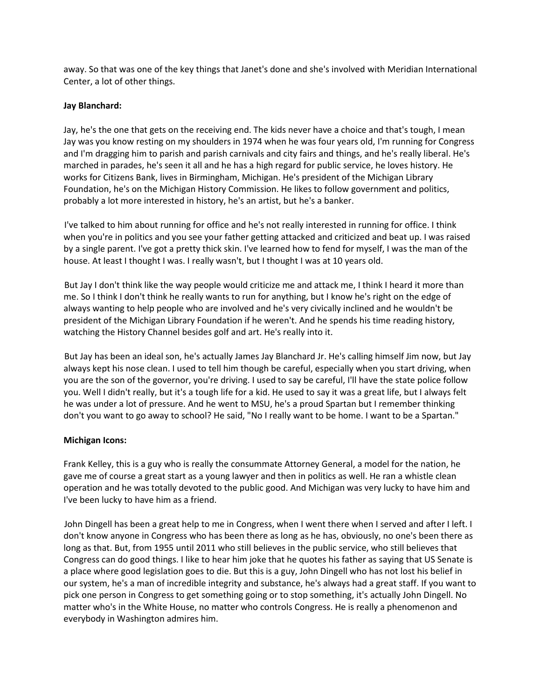away. So that was one of the key things that Janet's done and she's involved with Meridian International Center, a lot of other things.

## **Jay Blanchard:**

Jay, he's the one that gets on the receiving end. The kids never have a choice and that's tough, I mean Jay was you know resting on my shoulders in 1974 when he was four years old, I'm running for Congress and I'm dragging him to parish and parish carnivals and city fairs and things, and he's really liberal. He's marched in parades, he's seen it all and he has a high regard for public service, he loves history. He works for Citizens Bank, lives in Birmingham, Michigan. He's president of the Michigan Library Foundation, he's on the Michigan History Commission. He likes to follow government and politics, probably a lot more interested in history, he's an artist, but he's a banker.

I've talked to him about running for office and he's not really interested in running for office. I think when you're in politics and you see your father getting attacked and criticized and beat up. I was raised by a single parent. I've got a pretty thick skin. I've learned how to fend for myself, I was the man of the house. At least I thought I was. I really wasn't, but I thought I was at 10 years old.

But Jay I don't think like the way people would criticize me and attack me, I think I heard it more than me. So I think I don't think he really wants to run for anything, but I know he's right on the edge of always wanting to help people who are involved and he's very civically inclined and he wouldn't be president of the Michigan Library Foundation if he weren't. And he spends his time reading history, watching the History Channel besides golf and art. He's really into it.

But Jay has been an ideal son, he's actually James Jay Blanchard Jr. He's calling himself Jim now, but Jay always kept his nose clean. I used to tell him though be careful, especially when you start driving, when you are the son of the governor, you're driving. I used to say be careful, I'll have the state police follow you. Well I didn't really, but it's a tough life for a kid. He used to say it was a great life, but I always felt he was under a lot of pressure. And he went to MSU, he's a proud Spartan but I remember thinking don't you want to go away to school? He said, "No I really want to be home. I want to be a Spartan."

## **Michigan Icons:**

Frank Kelley, this is a guy who is really the consummate Attorney General, a model for the nation, he gave me of course a great start as a young lawyer and then in politics as well. He ran a whistle clean operation and he was totally devoted to the public good. And Michigan was very lucky to have him and I've been lucky to have him as a friend.

John Dingell has been a great help to me in Congress, when I went there when I served and after I left. I don't know anyone in Congress who has been there as long as he has, obviously, no one's been there as long as that. But, from 1955 until 2011 who still believes in the public service, who still believes that Congress can do good things. I like to hear him joke that he quotes his father as saying that US Senate is a place where good legislation goes to die. But this is a guy, John Dingell who has not lost his belief in our system, he's a man of incredible integrity and substance, he's always had a great staff. If you want to pick one person in Congress to get something going or to stop something, it's actually John Dingell. No matter who's in the White House, no matter who controls Congress. He is really a phenomenon and everybody in Washington admires him.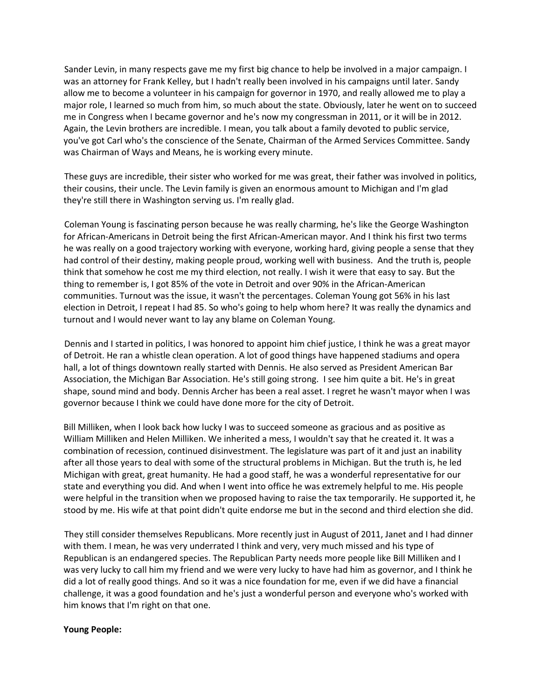Sander Levin, in many respects gave me my first big chance to help be involved in a major campaign. I was an attorney for Frank Kelley, but I hadn't really been involved in his campaigns until later. Sandy allow me to become a volunteer in his campaign for governor in 1970, and really allowed me to play a major role, I learned so much from him, so much about the state. Obviously, later he went on to succeed me in Congress when I became governor and he's now my congressman in 2011, or it will be in 2012. Again, the Levin brothers are incredible. I mean, you talk about a family devoted to public service, you've got Carl who's the conscience of the Senate, Chairman of the Armed Services Committee. Sandy was Chairman of Ways and Means, he is working every minute.

These guys are incredible, their sister who worked for me was great, their father was involved in politics, their cousins, their uncle. The Levin family is given an enormous amount to Michigan and I'm glad they're still there in Washington serving us. I'm really glad.

Coleman Young is fascinating person because he was really charming, he's like the George Washington for African-Americans in Detroit being the first African-American mayor. And I think his first two terms he was really on a good trajectory working with everyone, working hard, giving people a sense that they had control of their destiny, making people proud, working well with business. And the truth is, people think that somehow he cost me my third election, not really. I wish it were that easy to say. But the thing to remember is, I got 85% of the vote in Detroit and over 90% in the African-American communities. Turnout was the issue, it wasn't the percentages. Coleman Young got 56% in his last election in Detroit, I repeat I had 85. So who's going to help whom here? It was really the dynamics and turnout and I would never want to lay any blame on Coleman Young.

Dennis and I started in politics, I was honored to appoint him chief justice, I think he was a great mayor of Detroit. He ran a whistle clean operation. A lot of good things have happened stadiums and opera hall, a lot of things downtown really started with Dennis. He also served as President American Bar Association, the Michigan Bar Association. He's still going strong. I see him quite a bit. He's in great shape, sound mind and body. Dennis Archer has been a real asset. I regret he wasn't mayor when I was governor because I think we could have done more for the city of Detroit.

Bill Milliken, when I look back how lucky I was to succeed someone as gracious and as positive as William Milliken and Helen Milliken. We inherited a mess, I wouldn't say that he created it. It was a combination of recession, continued disinvestment. The legislature was part of it and just an inability after all those years to deal with some of the structural problems in Michigan. But the truth is, he led Michigan with great, great humanity. He had a good staff, he was a wonderful representative for our state and everything you did. And when I went into office he was extremely helpful to me. His people were helpful in the transition when we proposed having to raise the tax temporarily. He supported it, he stood by me. His wife at that point didn't quite endorse me but in the second and third election she did.

They still consider themselves Republicans. More recently just in August of 2011, Janet and I had dinner with them. I mean, he was very underrated I think and very, very much missed and his type of Republican is an endangered species. The Republican Party needs more people like Bill Milliken and I was very lucky to call him my friend and we were very lucky to have had him as governor, and I think he did a lot of really good things. And so it was a nice foundation for me, even if we did have a financial challenge, it was a good foundation and he's just a wonderful person and everyone who's worked with him knows that I'm right on that one.

#### **Young People:**